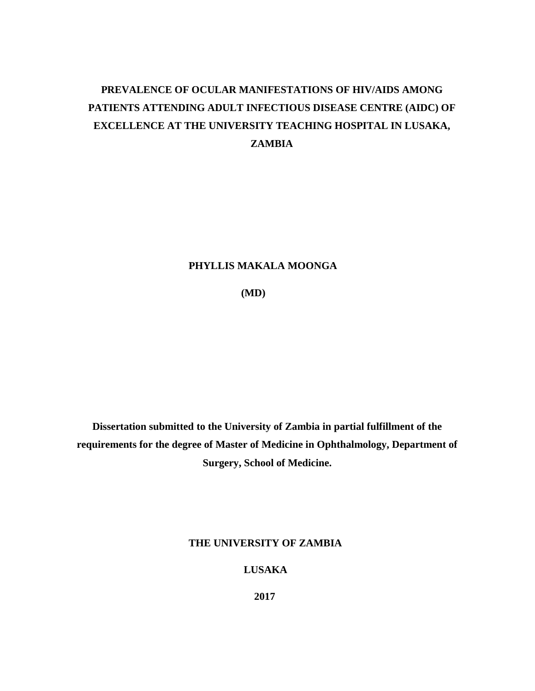# **PREVALENCE OF OCULAR MANIFESTATIONS OF HIV/AIDS AMONG PATIENTS ATTENDING ADULT INFECTIOUS DISEASE CENTRE (AIDC) OF EXCELLENCE AT THE UNIVERSITY TEACHING HOSPITAL IN LUSAKA, ZAMBIA**

## **PHYLLIS MAKALA MOONGA**

 **(MD)**

**Dissertation submitted to the University of Zambia in partial fulfillment of the requirements for the degree of Master of Medicine in Ophthalmology, Department of Surgery, School of Medicine.** 

**THE UNIVERSITY OF ZAMBIA**

 **LUSAKA**

 **2017**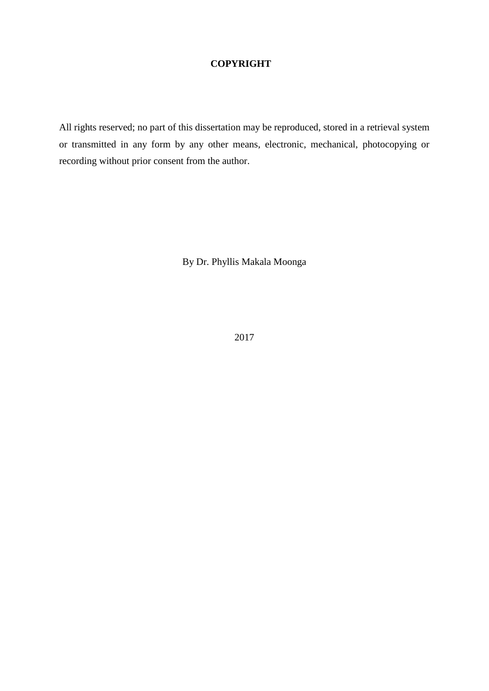## **COPYRIGHT**

All rights reserved; no part of this dissertation may be reproduced, stored in a retrieval system or transmitted in any form by any other means, electronic, mechanical, photocopying or recording without prior consent from the author.

By Dr. Phyllis Makala Moonga

2017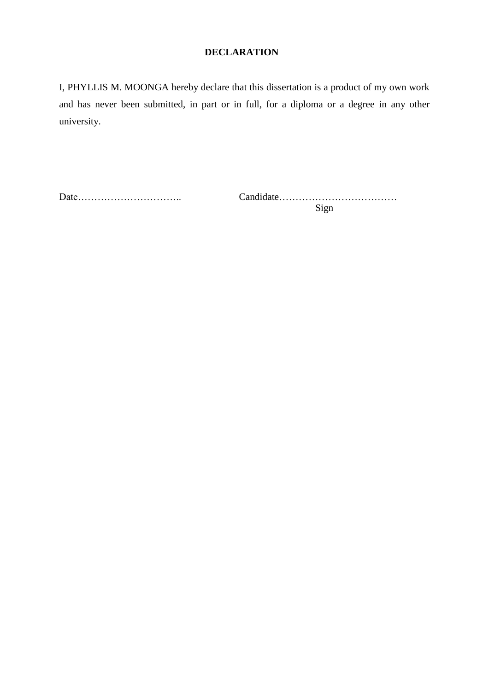## **DECLARATION**

I, PHYLLIS M. MOONGA hereby declare that this dissertation is a product of my own work and has never been submitted, in part or in full, for a diploma or a degree in any other university.

Date………………………….. Candidate………………………………

Sign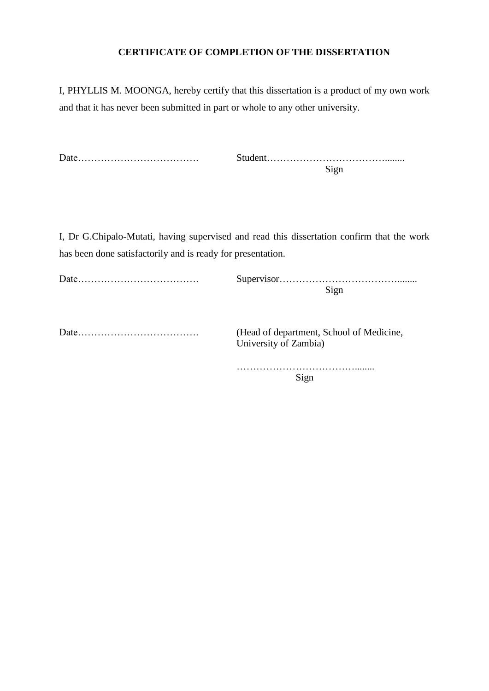## **CERTIFICATE OF COMPLETION OF THE DISSERTATION**

I, PHYLLIS M. MOONGA, hereby certify that this dissertation is a product of my own work and that it has never been submitted in part or whole to any other university.

| Date |  |
|------|--|
|      |  |

I, Dr G.Chipalo-Mutati, having supervised and read this dissertation confirm that the work has been done satisfactorily and is ready for presentation.

Date………………………………. (Head of department, School of Medicine,

University of Zambia)

………………………………........ Sign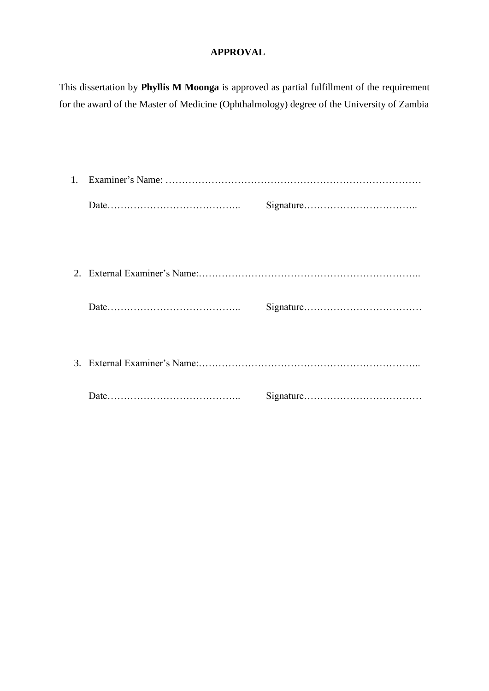# **APPROVAL**

This dissertation by **Phyllis M Moonga** is approved as partial fulfillment of the requirement for the award of the Master of Medicine (Ophthalmology) degree of the University of Zambia

| $1_{\cdot}$ |  |  |  |
|-------------|--|--|--|
|             |  |  |  |
|             |  |  |  |
|             |  |  |  |
|             |  |  |  |
|             |  |  |  |
|             |  |  |  |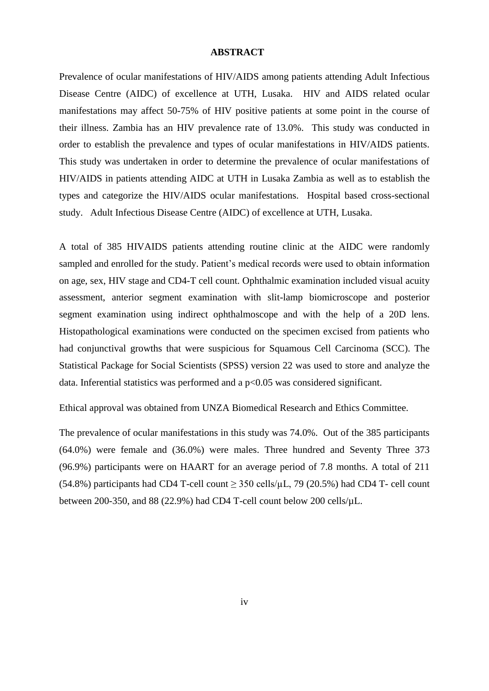#### **ABSTRACT**

Prevalence of ocular manifestations of HIV/AIDS among patients attending Adult Infectious Disease Centre (AIDC) of excellence at UTH, Lusaka. HIV and AIDS related ocular manifestations may affect 50-75% of HIV positive patients at some point in the course of their illness. Zambia has an HIV prevalence rate of 13.0%. This study was conducted in order to establish the prevalence and types of ocular manifestations in HIV/AIDS patients. This study was undertaken in order to determine the prevalence of ocular manifestations of HIV/AIDS in patients attending AIDC at UTH in Lusaka Zambia as well as to establish the types and categorize the HIV/AIDS ocular manifestations. Hospital based cross-sectional study. Adult Infectious Disease Centre (AIDC) of excellence at UTH, Lusaka.

A total of 385 HIVAIDS patients attending routine clinic at the AIDC were randomly sampled and enrolled for the study. Patient's medical records were used to obtain information on age, sex, HIV stage and CD4-T cell count. Ophthalmic examination included visual acuity assessment, anterior segment examination with slit-lamp biomicroscope and posterior segment examination using indirect ophthalmoscope and with the help of a 20D lens. Histopathological examinations were conducted on the specimen excised from patients who had conjunctival growths that were suspicious for Squamous Cell Carcinoma (SCC). The Statistical Package for Social Scientists (SPSS) version 22 was used to store and analyze the data. Inferential statistics was performed and a  $p<0.05$  was considered significant.

Ethical approval was obtained from UNZA Biomedical Research and Ethics Committee.

The prevalence of ocular manifestations in this study was 74.0%. Out of the 385 participants (64.0%) were female and (36.0%) were males. Three hundred and Seventy Three 373 (96.9%) participants were on HAART for an average period of 7.8 months. A total of 211 (54.8%) participants had CD4 T-cell count  $\geq$  350 cells/ $\mu$ L, 79 (20.5%) had CD4 T-cell count between 200-350, and 88 (22.9%) had CD4 T-cell count below 200 cells/µL.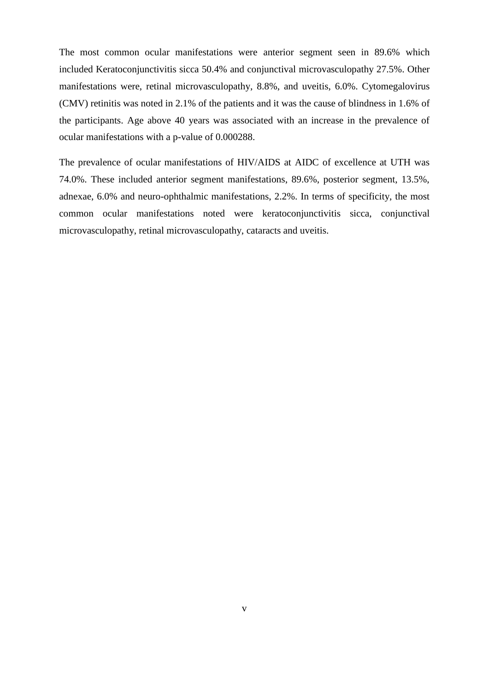The most common ocular manifestations were anterior segment seen in 89.6% which included Keratoconjunctivitis sicca 50.4% and conjunctival microvasculopathy 27.5%. Other manifestations were, retinal microvasculopathy, 8.8%, and uveitis, 6.0%. Cytomegalovirus (CMV) retinitis was noted in 2.1% of the patients and it was the cause of blindness in 1.6% of the participants. Age above 40 years was associated with an increase in the prevalence of ocular manifestations with a p-value of 0.000288.

The prevalence of ocular manifestations of HIV/AIDS at AIDC of excellence at UTH was 74.0%. These included anterior segment manifestations, 89.6%, posterior segment, 13.5%, adnexae, 6.0% and neuro-ophthalmic manifestations, 2.2%. In terms of specificity, the most common ocular manifestations noted were keratoconjunctivitis sicca, conjunctival microvasculopathy, retinal microvasculopathy, cataracts and uveitis.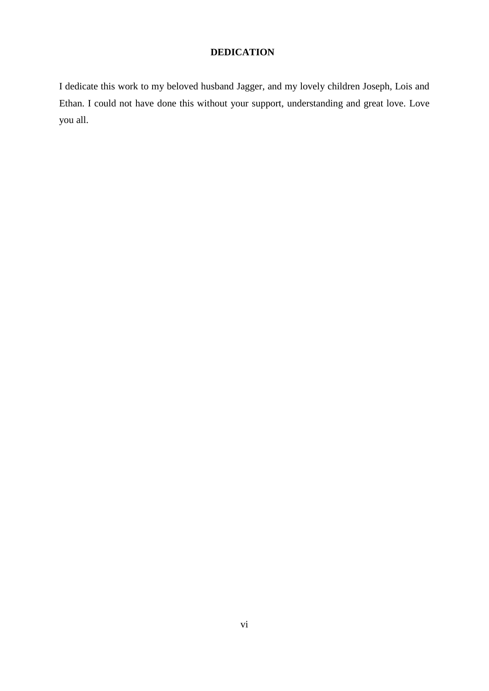# **DEDICATION**

I dedicate this work to my beloved husband Jagger, and my lovely children Joseph, Lois and Ethan. I could not have done this without your support, understanding and great love. Love you all.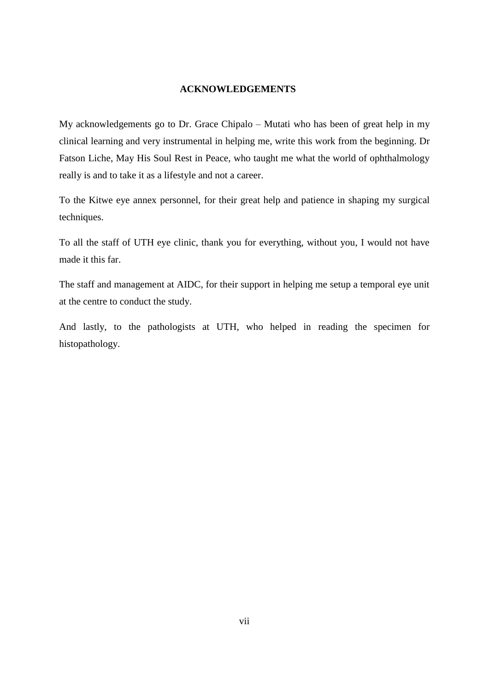#### **ACKNOWLEDGEMENTS**

My acknowledgements go to Dr. Grace Chipalo – Mutati who has been of great help in my clinical learning and very instrumental in helping me, write this work from the beginning. Dr Fatson Liche, May His Soul Rest in Peace, who taught me what the world of ophthalmology really is and to take it as a lifestyle and not a career.

To the Kitwe eye annex personnel, for their great help and patience in shaping my surgical techniques.

To all the staff of UTH eye clinic, thank you for everything, without you, I would not have made it this far.

The staff and management at AIDC, for their support in helping me setup a temporal eye unit at the centre to conduct the study.

And lastly, to the pathologists at UTH, who helped in reading the specimen for histopathology.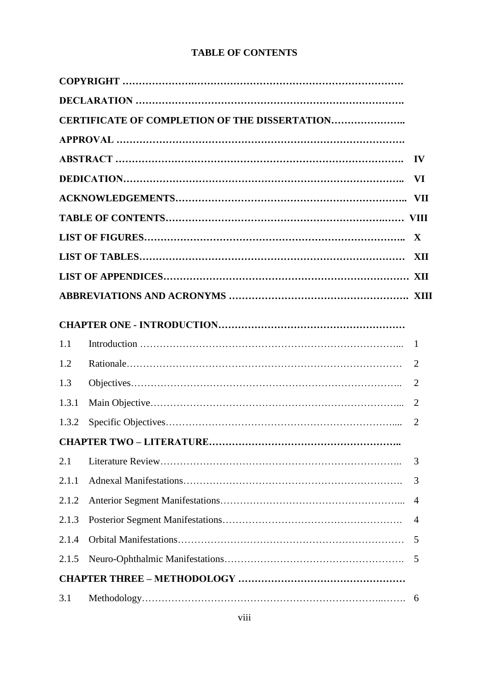# **TABLE OF CONTENTS**

|       | <b>CERTIFICATE OF COMPLETION OF THE DISSERTATION</b> |                |
|-------|------------------------------------------------------|----------------|
|       |                                                      |                |
|       |                                                      | $\mathbf{IV}$  |
|       |                                                      |                |
|       |                                                      |                |
|       |                                                      |                |
|       |                                                      | $\mathbf{X}$   |
|       |                                                      | XII            |
|       |                                                      |                |
|       |                                                      |                |
|       |                                                      |                |
| 1.1   |                                                      | $\overline{1}$ |
| 1.2   |                                                      | 2              |
| 1.3   |                                                      | 2              |
| 1.3.1 |                                                      | $\overline{2}$ |
| 1.3.2 |                                                      | $\overline{2}$ |
|       |                                                      |                |
| 2.1   |                                                      | 3              |
| 2.1.1 |                                                      | 3              |
| 2.1.2 |                                                      | 4              |
| 2.1.3 |                                                      | 4              |
| 2.1.4 |                                                      | 5              |
| 2.1.5 |                                                      | 5              |
|       |                                                      |                |
| 3.1   |                                                      | 6              |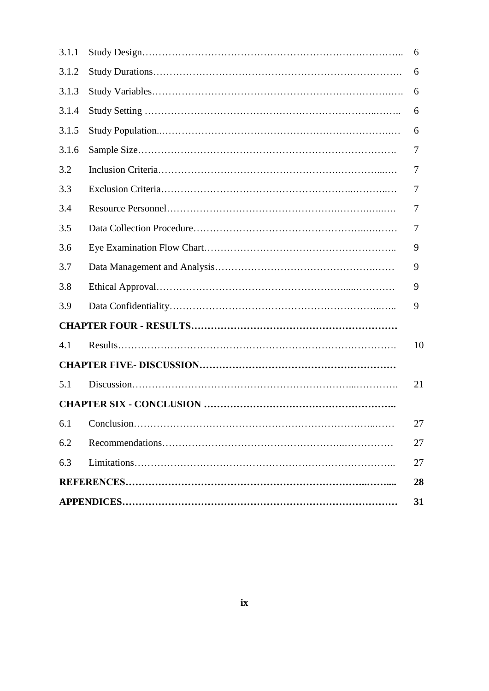| 3.1.1 | 6  |
|-------|----|
| 3.1.2 | 6  |
| 3.1.3 | 6  |
| 3.1.4 | 6  |
| 3.1.5 | 6  |
| 3.1.6 | 7  |
| 3.2   | 7  |
| 3.3   | 7  |
| 3.4   | 7  |
| 3.5   | 7  |
| 3.6   | 9  |
| 3.7   | 9  |
| 3.8   | 9  |
| 3.9   | 9  |
|       |    |
| 4.1   | 10 |
|       |    |
| 5.1   | 21 |
|       |    |
| 6.1   | 27 |
| 6.2   | 27 |
| 6.3   | 27 |
|       | 28 |
|       | 31 |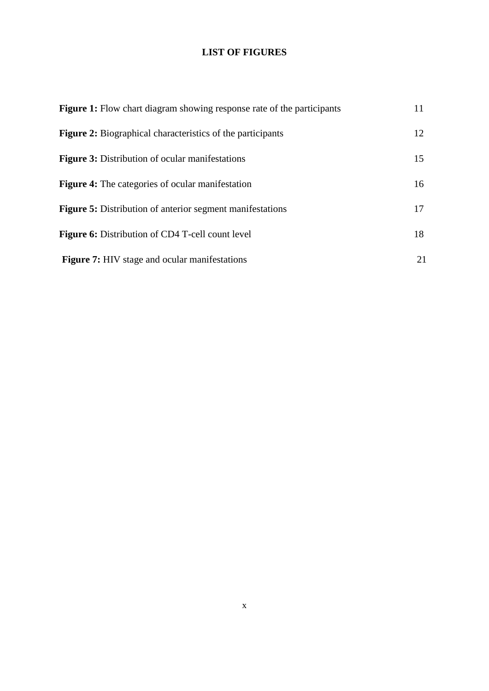# **LIST OF FIGURES**

| <b>Figure 1:</b> Flow chart diagram showing response rate of the participants | 11 |
|-------------------------------------------------------------------------------|----|
| <b>Figure 2:</b> Biographical characteristics of the participants             | 12 |
| <b>Figure 3:</b> Distribution of ocular manifestations                        | 15 |
| <b>Figure 4:</b> The categories of ocular manifestation                       | 16 |
| <b>Figure 5:</b> Distribution of anterior segment manifestations              | 17 |
| <b>Figure 6:</b> Distribution of CD4 T-cell count level                       | 18 |
| <b>Figure 7:</b> HIV stage and ocular manifestations                          | 21 |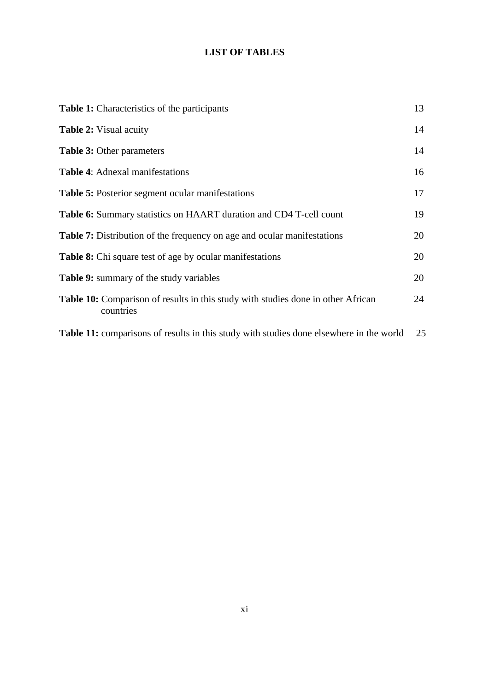# **LIST OF TABLES**

| <b>Table 1:</b> Characteristics of the participants                                           | 13 |
|-----------------------------------------------------------------------------------------------|----|
| <b>Table 2:</b> Visual acuity                                                                 | 14 |
| <b>Table 3: Other parameters</b>                                                              | 14 |
| <b>Table 4:</b> Adnexal manifestations                                                        | 16 |
| <b>Table 5:</b> Posterior segment ocular manifestations                                       | 17 |
| Table 6: Summary statistics on HAART duration and CD4 T-cell count                            | 19 |
| <b>Table 7:</b> Distribution of the frequency on age and ocular manifestations                | 20 |
| <b>Table 8:</b> Chi square test of age by ocular manifestations                               | 20 |
| Table 9: summary of the study variables                                                       | 20 |
| Table 10: Comparison of results in this study with studies done in other African<br>countries | 24 |
| Table 11: comparisons of results in this study with studies done elsewhere in the world       | 25 |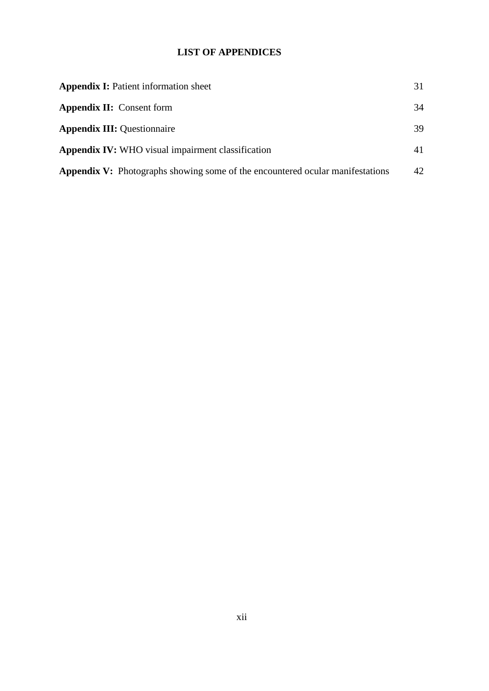# **LIST OF APPENDICES**

| <b>Appendix I:</b> Patient information sheet                                         | 31 |
|--------------------------------------------------------------------------------------|----|
| <b>Appendix II:</b> Consent form                                                     | 34 |
| <b>Appendix III:</b> Questionnaire                                                   | 39 |
| <b>Appendix IV:</b> WHO visual impairment classification                             | 41 |
| <b>Appendix V:</b> Photographs showing some of the encountered ocular manifestations | 42 |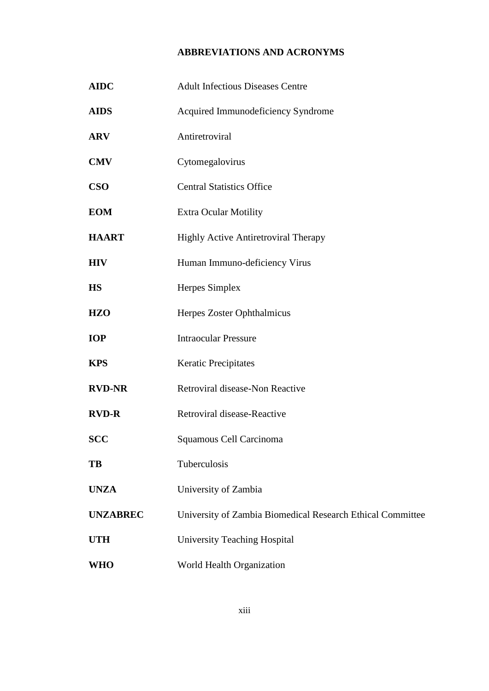# **ABBREVIATIONS AND ACRONYMS**

| <b>AIDC</b>     | <b>Adult Infectious Diseases Centre</b>                    |  |  |
|-----------------|------------------------------------------------------------|--|--|
| <b>AIDS</b>     | Acquired Immunodeficiency Syndrome                         |  |  |
| <b>ARV</b>      | Antiretroviral                                             |  |  |
| <b>CMV</b>      | Cytomegalovirus                                            |  |  |
| <b>CSO</b>      | <b>Central Statistics Office</b>                           |  |  |
| <b>EOM</b>      | <b>Extra Ocular Motility</b>                               |  |  |
| <b>HAART</b>    | Highly Active Antiretroviral Therapy                       |  |  |
| <b>HIV</b>      | Human Immuno-deficiency Virus                              |  |  |
| <b>HS</b>       | Herpes Simplex                                             |  |  |
| <b>HZO</b>      | Herpes Zoster Ophthalmicus                                 |  |  |
| <b>IOP</b>      | <b>Intraocular Pressure</b>                                |  |  |
| <b>KPS</b>      | <b>Keratic Precipitates</b>                                |  |  |
| <b>RVD-NR</b>   | Retroviral disease-Non Reactive                            |  |  |
| <b>RVD-R</b>    | Retroviral disease-Reactive                                |  |  |
| <b>SCC</b>      | Squamous Cell Carcinoma                                    |  |  |
| TB              | Tuberculosis                                               |  |  |
| <b>UNZA</b>     | University of Zambia                                       |  |  |
| <b>UNZABREC</b> | University of Zambia Biomedical Research Ethical Committee |  |  |
| <b>UTH</b>      | <b>University Teaching Hospital</b>                        |  |  |
| <b>WHO</b>      | World Health Organization                                  |  |  |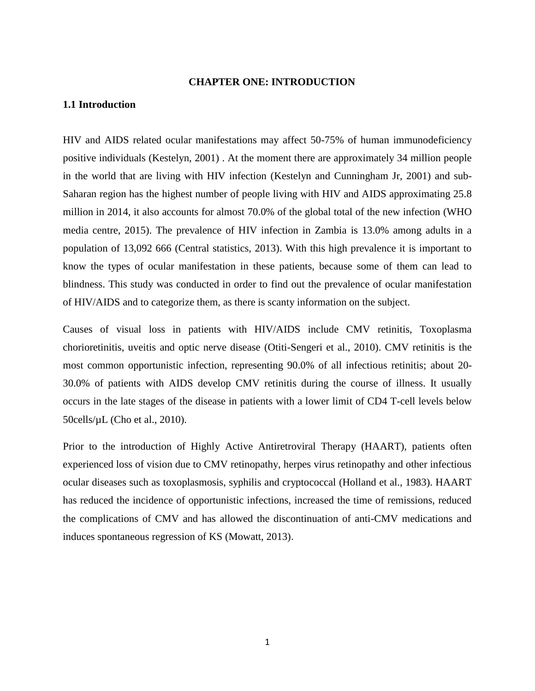#### **CHAPTER ONE: INTRODUCTION**

#### **1.1 Introduction**

HIV and AIDS related ocular manifestations may affect 50-75% of human immunodeficiency positive individuals (Kestelyn, 2001) . At the moment there are approximately 34 million people in the world that are living with HIV infection (Kestelyn and Cunningham Jr, 2001) and sub-Saharan region has the highest number of people living with HIV and AIDS approximating 25.8 million in 2014, it also accounts for almost 70.0% of the global total of the new infection (WHO media centre, 2015). The prevalence of HIV infection in Zambia is 13.0% among adults in a population of 13,092 666 (Central statistics, 2013). With this high prevalence it is important to know the types of ocular manifestation in these patients, because some of them can lead to blindness. This study was conducted in order to find out the prevalence of ocular manifestation of HIV/AIDS and to categorize them, as there is scanty information on the subject.

Causes of visual loss in patients with HIV/AIDS include CMV retinitis, Toxoplasma chorioretinitis, uveitis and optic nerve disease (Otiti-Sengeri et al., 2010). CMV retinitis is the most common opportunistic infection, representing 90.0% of all infectious retinitis; about 20- 30.0% of patients with AIDS develop CMV retinitis during the course of illness. It usually occurs in the late stages of the disease in patients with a lower limit of CD4 T-cell levels below 50cells/µL (Cho et al., 2010).

Prior to the introduction of Highly Active Antiretroviral Therapy (HAART), patients often experienced loss of vision due to CMV retinopathy, herpes virus retinopathy and other infectious ocular diseases such as toxoplasmosis, syphilis and cryptococcal (Holland et al., 1983). HAART has reduced the incidence of opportunistic infections, increased the time of remissions, reduced the complications of CMV and has allowed the discontinuation of anti-CMV medications and induces spontaneous regression of KS (Mowatt, 2013).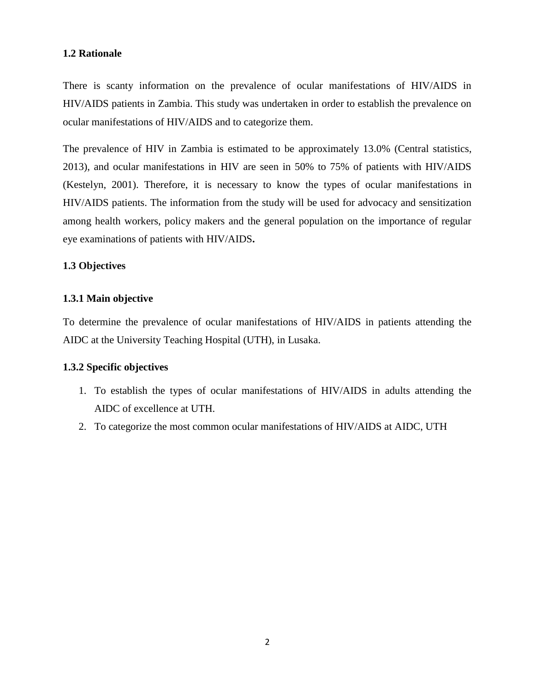## **1.2 Rationale**

There is scanty information on the prevalence of ocular manifestations of HIV/AIDS in HIV/AIDS patients in Zambia. This study was undertaken in order to establish the prevalence on ocular manifestations of HIV/AIDS and to categorize them.

The prevalence of HIV in Zambia is estimated to be approximately 13.0% (Central statistics, 2013), and ocular manifestations in HIV are seen in 50% to 75% of patients with HIV/AIDS (Kestelyn, 2001). Therefore, it is necessary to know the types of ocular manifestations in HIV/AIDS patients. The information from the study will be used for advocacy and sensitization among health workers, policy makers and the general population on the importance of regular eye examinations of patients with HIV/AIDS**.**

## **1.3 Objectives**

## **1.3.1 Main objective**

To determine the prevalence of ocular manifestations of HIV/AIDS in patients attending the AIDC at the University Teaching Hospital (UTH), in Lusaka.

## **1.3.2 Specific objectives**

- 1. To establish the types of ocular manifestations of HIV/AIDS in adults attending the AIDC of excellence at UTH.
- 2. To categorize the most common ocular manifestations of HIV/AIDS at AIDC, UTH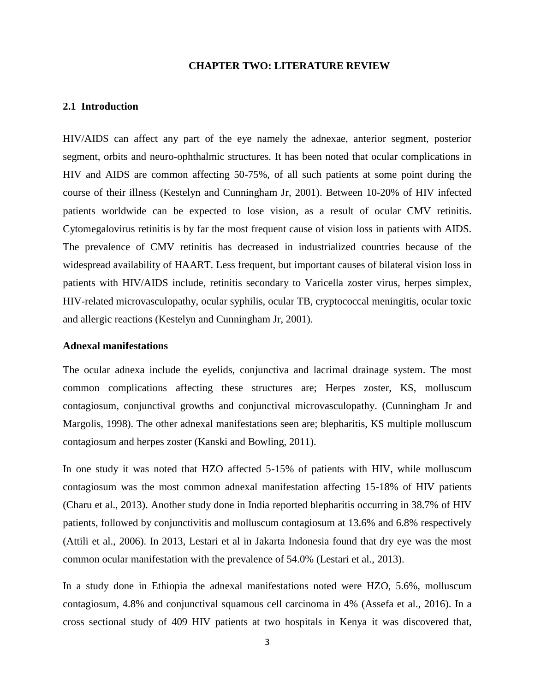#### **CHAPTER TWO: LITERATURE REVIEW**

#### **2.1 Introduction**

HIV/AIDS can affect any part of the eye namely the adnexae, anterior segment, posterior segment, orbits and neuro-ophthalmic structures. It has been noted that ocular complications in HIV and AIDS are common affecting 50-75%, of all such patients at some point during the course of their illness (Kestelyn and Cunningham Jr, 2001). Between 10-20% of HIV infected patients worldwide can be expected to lose vision, as a result of ocular CMV retinitis. Cytomegalovirus retinitis is by far the most frequent cause of vision loss in patients with AIDS. The prevalence of CMV retinitis has decreased in industrialized countries because of the widespread availability of HAART. Less frequent, but important causes of bilateral vision loss in patients with HIV/AIDS include, retinitis secondary to Varicella zoster virus, herpes simplex, HIV-related microvasculopathy, ocular syphilis, ocular TB, cryptococcal meningitis, ocular toxic and allergic reactions (Kestelyn and Cunningham Jr, 2001).

#### **Adnexal manifestations**

The ocular adnexa include the eyelids, conjunctiva and lacrimal drainage system. The most common complications affecting these structures are; Herpes zoster, KS, molluscum contagiosum, conjunctival growths and conjunctival microvasculopathy. (Cunningham Jr and Margolis, 1998). The other adnexal manifestations seen are; blepharitis, KS multiple molluscum contagiosum and herpes zoster (Kanski and Bowling, 2011).

In one study it was noted that HZO affected 5-15% of patients with HIV, while molluscum contagiosum was the most common adnexal manifestation affecting 15-18% of HIV patients (Charu et al., 2013). Another study done in India reported blepharitis occurring in 38.7% of HIV patients, followed by conjunctivitis and molluscum contagiosum at 13.6% and 6.8% respectively (Attili et al., 2006). In 2013, Lestari et al in Jakarta Indonesia found that dry eye was the most common ocular manifestation with the prevalence of 54.0% (Lestari et al., 2013).

In a study done in Ethiopia the adnexal manifestations noted were HZO, 5.6%, molluscum contagiosum, 4.8% and conjunctival squamous cell carcinoma in 4% (Assefa et al., 2016). In a cross sectional study of 409 HIV patients at two hospitals in Kenya it was discovered that,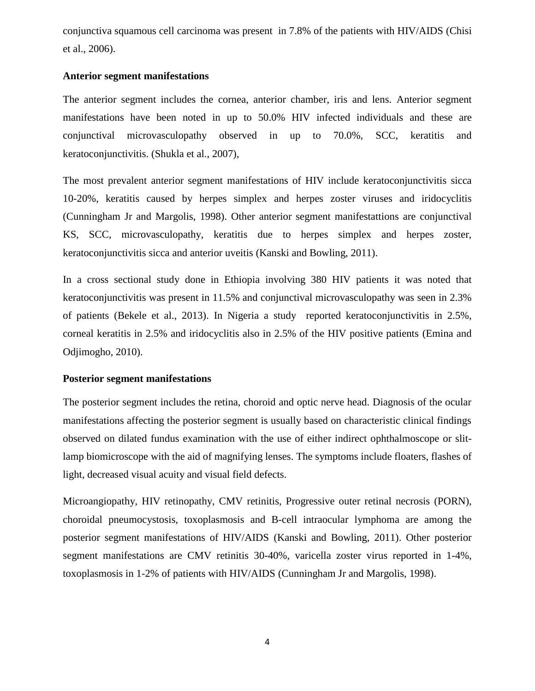conjunctiva squamous cell carcinoma was present in 7.8% of the patients with HIV/AIDS (Chisi et al., 2006).

#### **Anterior segment manifestations**

The anterior segment includes the cornea, anterior chamber, iris and lens. Anterior segment manifestations have been noted in up to 50.0% HIV infected individuals and these are conjunctival microvasculopathy observed in up to 70.0%, SCC, keratitis and keratoconjunctivitis. (Shukla et al., 2007),

The most prevalent anterior segment manifestations of HIV include keratoconjunctivitis sicca 10-20%, keratitis caused by herpes simplex and herpes zoster viruses and iridocyclitis (Cunningham Jr and Margolis, 1998). Other anterior segment manifestattions are conjunctival KS, SCC, microvasculopathy, keratitis due to herpes simplex and herpes zoster, keratoconjunctivitis sicca and anterior uveitis (Kanski and Bowling, 2011).

In a cross sectional study done in Ethiopia involving 380 HIV patients it was noted that keratoconjunctivitis was present in 11.5% and conjunctival microvasculopathy was seen in 2.3% of patients (Bekele et al., 2013). In Nigeria a study reported keratoconjunctivitis in 2.5%, corneal keratitis in 2.5% and iridocyclitis also in 2.5% of the HIV positive patients (Emina and Odjimogho, 2010).

#### **Posterior segment manifestations**

The posterior segment includes the retina, choroid and optic nerve head. Diagnosis of the ocular manifestations affecting the posterior segment is usually based on characteristic clinical findings observed on dilated fundus examination with the use of either indirect ophthalmoscope or slitlamp biomicroscope with the aid of magnifying lenses. The symptoms include floaters, flashes of light, decreased visual acuity and visual field defects.

Microangiopathy, HIV retinopathy, CMV retinitis, Progressive outer retinal necrosis (PORN), choroidal pneumocystosis, toxoplasmosis and B-cell intraocular lymphoma are among the posterior segment manifestations of HIV/AIDS (Kanski and Bowling, 2011). Other posterior segment manifestations are CMV retinitis 30-40%, varicella zoster virus reported in 1-4%, toxoplasmosis in 1-2% of patients with HIV/AIDS (Cunningham Jr and Margolis, 1998).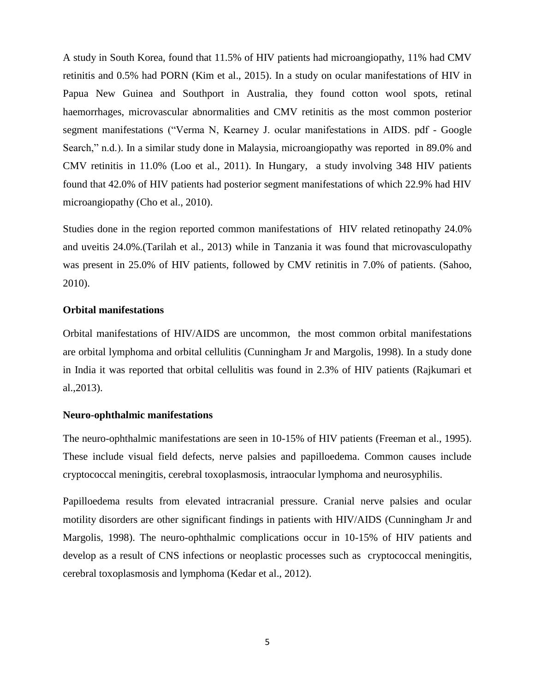A study in South Korea, found that 11.5% of HIV patients had microangiopathy, 11% had CMV retinitis and 0.5% had PORN (Kim et al., 2015). In a study on ocular manifestations of HIV in Papua New Guinea and Southport in Australia, they found cotton wool spots, retinal haemorrhages, microvascular abnormalities and CMV retinitis as the most common posterior segment manifestations ("Verma N, Kearney J. ocular manifestations in AIDS. pdf - Google Search," n.d.). In a similar study done in Malaysia, microangiopathy was reported in 89.0% and CMV retinitis in 11.0% (Loo et al., 2011). In Hungary, a study involving 348 HIV patients found that 42.0% of HIV patients had posterior segment manifestations of which 22.9% had HIV microangiopathy (Cho et al., 2010).

Studies done in the region reported common manifestations of HIV related retinopathy 24.0% and uveitis 24.0%.(Tarilah et al., 2013) while in Tanzania it was found that microvasculopathy was present in 25.0% of HIV patients, followed by CMV retinitis in 7.0% of patients. (Sahoo, 2010).

#### **Orbital manifestations**

Orbital manifestations of HIV/AIDS are uncommon, the most common orbital manifestations are orbital lymphoma and orbital cellulitis (Cunningham Jr and Margolis, 1998). In a study done in India it was reported that orbital cellulitis was found in 2.3% of HIV patients (Rajkumari et al.,2013).

#### **Neuro-ophthalmic manifestations**

The neuro-ophthalmic manifestations are seen in 10-15% of HIV patients (Freeman et al., 1995). These include visual field defects, nerve palsies and papilloedema. Common causes include cryptococcal meningitis, cerebral toxoplasmosis, intraocular lymphoma and neurosyphilis.

Papilloedema results from elevated intracranial pressure. Cranial nerve palsies and ocular motility disorders are other significant findings in patients with HIV/AIDS (Cunningham Jr and Margolis, 1998). The neuro-ophthalmic complications occur in 10-15% of HIV patients and develop as a result of CNS infections or neoplastic processes such as cryptococcal meningitis, cerebral toxoplasmosis and lymphoma (Kedar et al., 2012).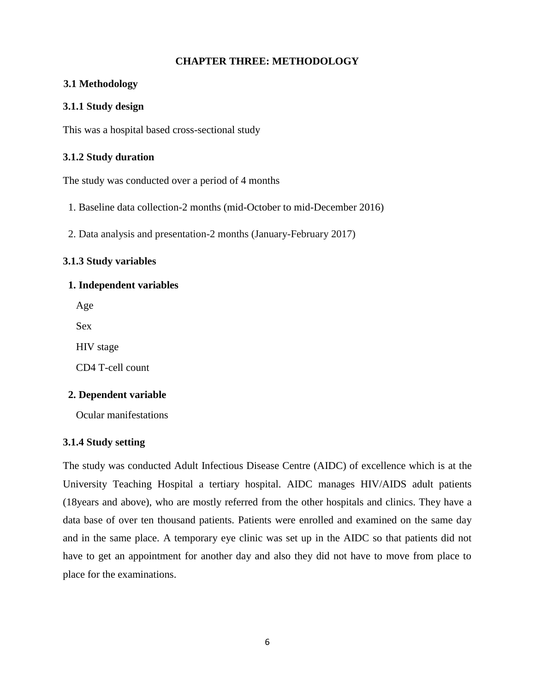#### **CHAPTER THREE: METHODOLOGY**

#### **3.1 Methodology**

#### **3.1.1 Study design**

This was a hospital based cross-sectional study

#### **3.1.2 Study duration**

The study was conducted over a period of 4 months

- 1. Baseline data collection-2 months (mid-October to mid-December 2016)
- 2. Data analysis and presentation-2 months (January-February 2017)

#### **3.1.3 Study variables**

#### **1. Independent variables**

Age

Sex

HIV stage

CD4 T-cell count

## **2. Dependent variable**

Ocular manifestations

#### **3.1.4 Study setting**

The study was conducted Adult Infectious Disease Centre (AIDC) of excellence which is at the University Teaching Hospital a tertiary hospital. AIDC manages HIV/AIDS adult patients (18years and above), who are mostly referred from the other hospitals and clinics. They have a data base of over ten thousand patients. Patients were enrolled and examined on the same day and in the same place. A temporary eye clinic was set up in the AIDC so that patients did not have to get an appointment for another day and also they did not have to move from place to place for the examinations.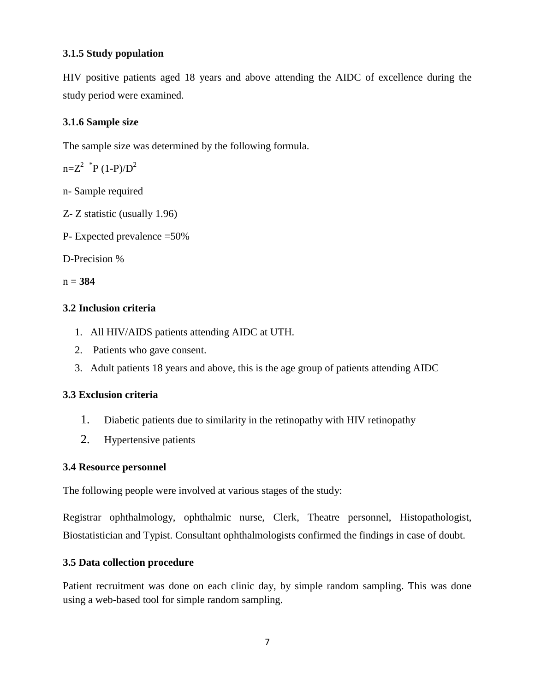## **3.1.5 Study population**

HIV positive patients aged 18 years and above attending the AIDC of excellence during the study period were examined.

## **3.1.6 Sample size**

The sample size was determined by the following formula.

 $n=Z^2$  \*P (1-P)/D<sup>2</sup>

- n- Sample required
- Z- Z statistic (usually 1.96)
- P- Expected prevalence =50%

D-Precision %

n = **384**

## **3.2 Inclusion criteria**

- 1. All HIV/AIDS patients attending AIDC at UTH.
- 2. Patients who gave consent.
- 3. Adult patients 18 years and above, this is the age group of patients attending AIDC

# **3.3 Exclusion criteria**

- 1. Diabetic patients due to similarity in the retinopathy with HIV retinopathy
- 2. Hypertensive patients

## **3.4 Resource personnel**

The following people were involved at various stages of the study:

Registrar ophthalmology, ophthalmic nurse, Clerk, Theatre personnel, Histopathologist, Biostatistician and Typist. Consultant ophthalmologists confirmed the findings in case of doubt.

# **3.5 Data collection procedure**

Patient recruitment was done on each clinic day, by simple random sampling. This was done using a web-based tool for simple random sampling.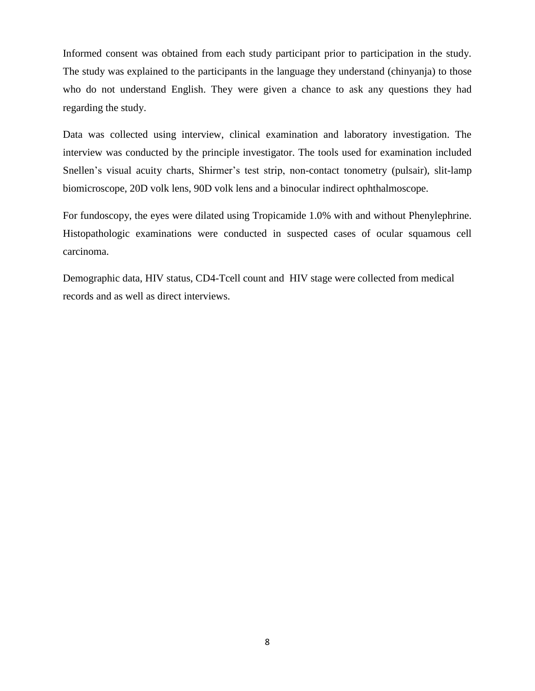Informed consent was obtained from each study participant prior to participation in the study. The study was explained to the participants in the language they understand (chinyanja) to those who do not understand English. They were given a chance to ask any questions they had regarding the study.

Data was collected using interview, clinical examination and laboratory investigation. The interview was conducted by the principle investigator. The tools used for examination included Snellen's visual acuity charts, Shirmer's test strip, non-contact tonometry (pulsair), slit-lamp biomicroscope, 20D volk lens, 90D volk lens and a binocular indirect ophthalmoscope.

For fundoscopy, the eyes were dilated using Tropicamide 1.0% with and without Phenylephrine. Histopathologic examinations were conducted in suspected cases of ocular squamous cell carcinoma.

Demographic data, HIV status, CD4-Tcell count and HIV stage were collected from medical records and as well as direct interviews.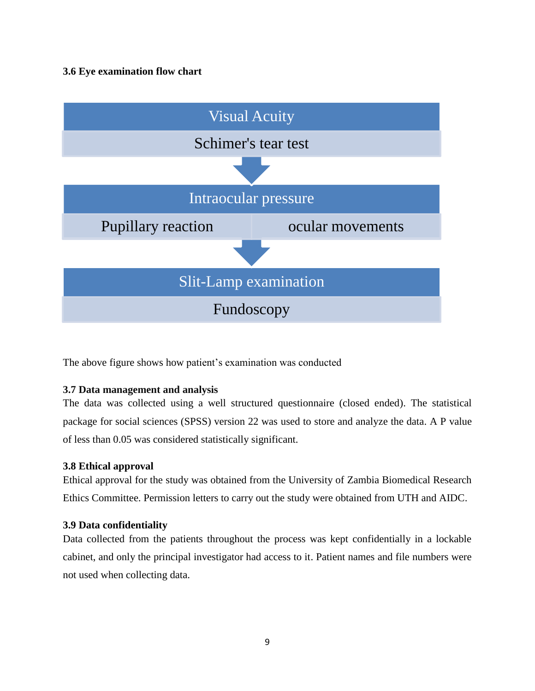## **3.6 Eye examination flow chart**



The above figure shows how patient's examination was conducted

## **3.7 Data management and analysis**

The data was collected using a well structured questionnaire (closed ended). The statistical package for social sciences (SPSS) version 22 was used to store and analyze the data. A P value of less than 0.05 was considered statistically significant.

## **3.8 Ethical approval**

Ethical approval for the study was obtained from the University of Zambia Biomedical Research Ethics Committee. Permission letters to carry out the study were obtained from UTH and AIDC.

## **3.9 Data confidentiality**

Data collected from the patients throughout the process was kept confidentially in a lockable cabinet, and only the principal investigator had access to it. Patient names and file numbers were not used when collecting data.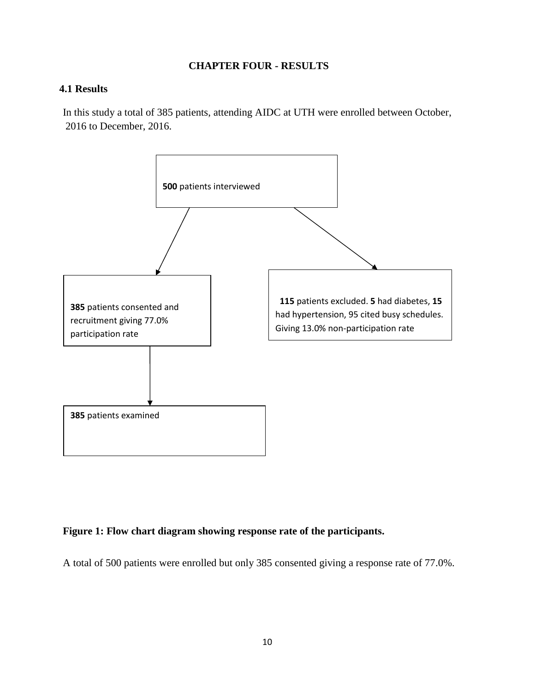#### **CHAPTER FOUR - RESULTS**

#### **4.1 Results**

In this study a total of 385 patients, attending AIDC at UTH were enrolled between October, 2016 to December, 2016.



## **Figure 1: Flow chart diagram showing response rate of the participants.**

A total of 500 patients were enrolled but only 385 consented giving a response rate of 77.0%.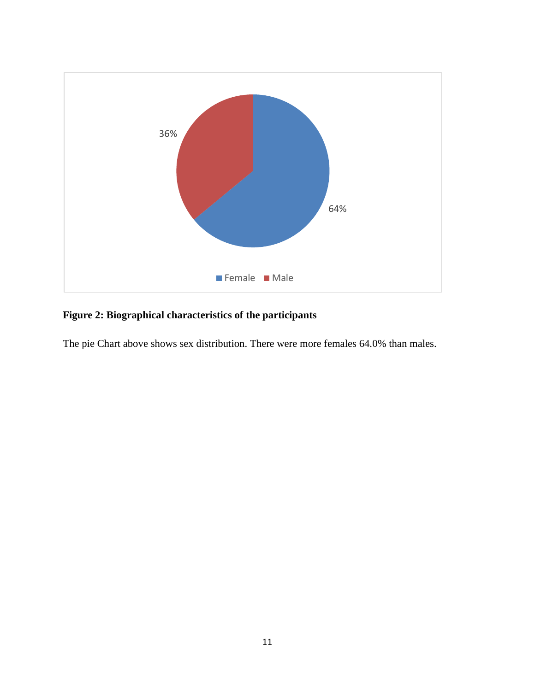

# **Figure 2: Biographical characteristics of the participants**

The pie Chart above shows sex distribution. There were more females 64.0% than males.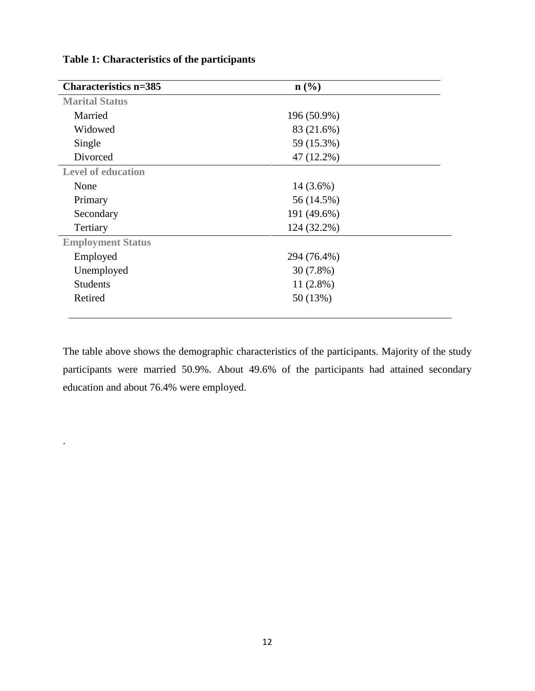| <b>Characteristics n=385</b> | $n\left(\frac{0}{0}\right)$ |  |  |
|------------------------------|-----------------------------|--|--|
| <b>Marital Status</b>        |                             |  |  |
| Married                      | 196 (50.9%)                 |  |  |
| Widowed                      | 83 (21.6%)                  |  |  |
| Single                       | 59 (15.3%)                  |  |  |
| Divorced                     | 47 (12.2%)                  |  |  |
| <b>Level of education</b>    |                             |  |  |
| None                         | $14(3.6\%)$                 |  |  |
| Primary                      | 56 (14.5%)                  |  |  |
| Secondary                    | 191 (49.6%)                 |  |  |
| Tertiary                     | 124 (32.2%)                 |  |  |
| <b>Employment Status</b>     |                             |  |  |
| Employed                     | 294 (76.4%)                 |  |  |
| Unemployed                   | $30(7.8\%)$                 |  |  |
| <b>Students</b>              | $11(2.8\%)$                 |  |  |
| Retired                      | 50 (13%)                    |  |  |
|                              |                             |  |  |

**Table 1: Characteristics of the participants**

.

The table above shows the demographic characteristics of the participants. Majority of the study participants were married 50.9%. About 49.6% of the participants had attained secondary education and about 76.4% were employed.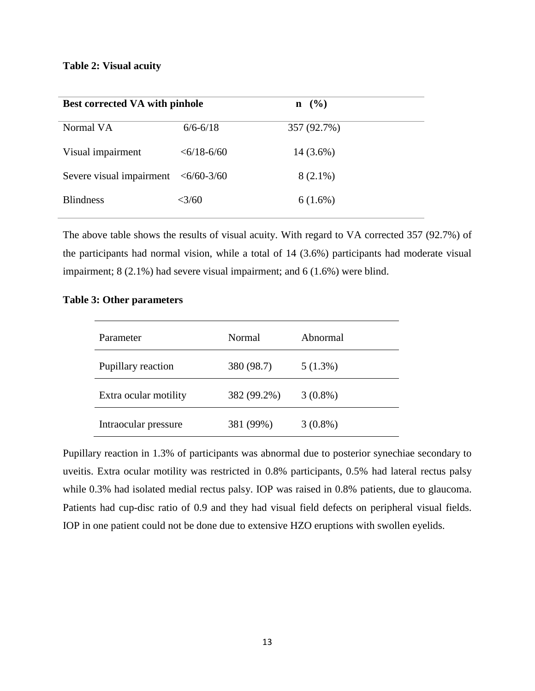#### **Table 2: Visual acuity**

| <b>Best corrected VA with pinhole</b>                |                       | $n \ (\%)$  |
|------------------------------------------------------|-----------------------|-------------|
| Normal VA                                            | $6/6 - 6/18$          | 357 (92.7%) |
| Visual impairment                                    | $<\frac{6}{18}$ -6/60 | $14(3.6\%)$ |
| Severe visual impairment $\langle 6/60-3/60 \rangle$ |                       | $8(2.1\%)$  |
| <b>Blindness</b>                                     | $<\!\!3/60$           | $6(1.6\%)$  |

The above table shows the results of visual acuity. With regard to VA corrected 357 (92.7%) of the participants had normal vision, while a total of 14 (3.6%) participants had moderate visual impairment; 8 (2.1%) had severe visual impairment; and 6 (1.6%) were blind.

| Parameter                        | Normal      | Abnormal   |
|----------------------------------|-------------|------------|
| 380 (98.7)<br>Pupillary reaction |             | $5(1.3\%)$ |
| Extra ocular motility            | 382 (99.2%) | $3(0.8\%)$ |
| Intraocular pressure             | 381 (99%)   | $3(0.8\%)$ |

#### **Table 3: Other parameters**

Pupillary reaction in 1.3% of participants was abnormal due to posterior synechiae secondary to uveitis. Extra ocular motility was restricted in 0.8% participants, 0.5% had lateral rectus palsy while 0.3% had isolated medial rectus palsy. IOP was raised in 0.8% patients, due to glaucoma. Patients had cup-disc ratio of 0.9 and they had visual field defects on peripheral visual fields. IOP in one patient could not be done due to extensive HZO eruptions with swollen eyelids.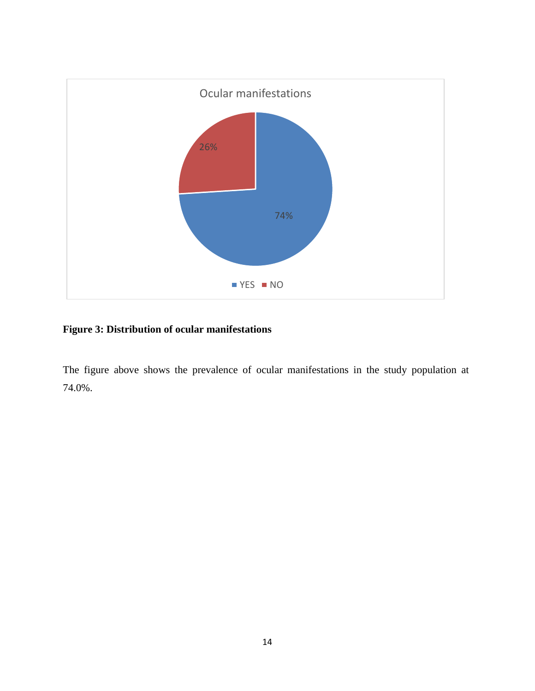

# **Figure 3: Distribution of ocular manifestations**

The figure above shows the prevalence of ocular manifestations in the study population at 74.0%.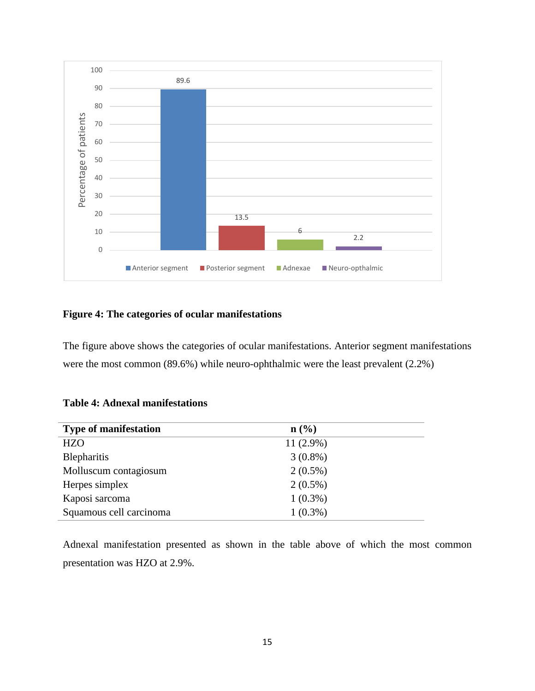

## **Figure 4: The categories of ocular manifestations**

The figure above shows the categories of ocular manifestations. Anterior segment manifestations were the most common (89.6%) while neuro-ophthalmic were the least prevalent (2.2%)

### **Table 4: Adnexal manifestations**

| <b>Type of manifestation</b> | $\mathbf{n}(\%)$ |  |
|------------------------------|------------------|--|
| <b>HZO</b>                   | $11(2.9\%)$      |  |
| <b>Blepharitis</b>           | $3(0.8\%)$       |  |
| Molluscum contagiosum        | $2(0.5\%)$       |  |
| Herpes simplex               | $2(0.5\%)$       |  |
| Kaposi sarcoma               | $1(0.3\%)$       |  |
| Squamous cell carcinoma      | $1(0.3\%)$       |  |

Adnexal manifestation presented as shown in the table above of which the most common presentation was HZO at 2.9%.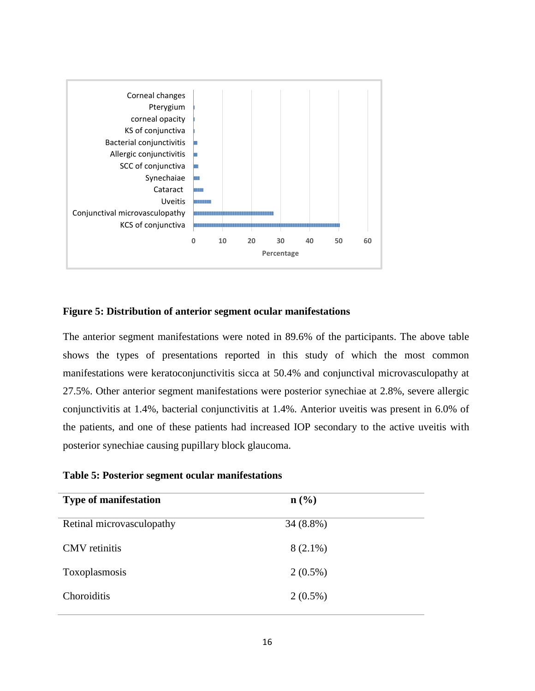

#### **Figure 5: Distribution of anterior segment ocular manifestations**

The anterior segment manifestations were noted in 89.6% of the participants. The above table shows the types of presentations reported in this study of which the most common manifestations were keratoconjunctivitis sicca at 50.4% and conjunctival microvasculopathy at 27.5%. Other anterior segment manifestations were posterior synechiae at 2.8%, severe allergic conjunctivitis at 1.4%, bacterial conjunctivitis at 1.4%. Anterior uveitis was present in 6.0% of the patients, and one of these patients had increased IOP secondary to the active uveitis with posterior synechiae causing pupillary block glaucoma.

**Table 5: Posterior segment ocular manifestations**

| <b>Type of manifestation</b> | $n\left(\frac{0}{0}\right)$ |  |
|------------------------------|-----------------------------|--|
| Retinal microvasculopathy    | $34(8.8\%)$                 |  |
| <b>CMV</b> retinitis         | $8(2.1\%)$                  |  |
| Toxoplasmosis                | $2(0.5\%)$                  |  |
| Choroiditis                  | $2(0.5\%)$                  |  |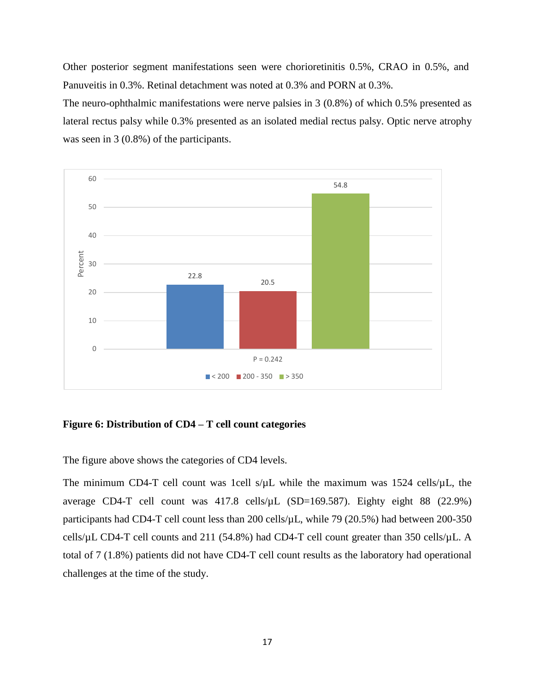Other posterior segment manifestations seen were chorioretinitis 0.5%, CRAO in 0.5%, and Panuveitis in 0.3%. Retinal detachment was noted at 0.3% and PORN at 0.3%.

The neuro-ophthalmic manifestations were nerve palsies in 3 (0.8%) of which 0.5% presented as lateral rectus palsy while 0.3% presented as an isolated medial rectus palsy. Optic nerve atrophy was seen in 3 (0.8%) of the participants.



#### **Figure 6: Distribution of CD4 – T cell count categories**

The figure above shows the categories of CD4 levels.

The minimum CD4-T cell count was 1cell  $s/\mu L$  while the maximum was 1524 cells/ $\mu L$ , the average CD4-T cell count was  $417.8$  cells/ $\mu$ L (SD=169.587). Eighty eight 88 (22.9%) participants had CD4-T cell count less than 200 cells/µL, while 79 (20.5%) had between 200-350 cells/µL CD4-T cell counts and 211 (54.8%) had CD4-T cell count greater than 350 cells/µL. A total of 7 (1.8%) patients did not have CD4-T cell count results as the laboratory had operational challenges at the time of the study.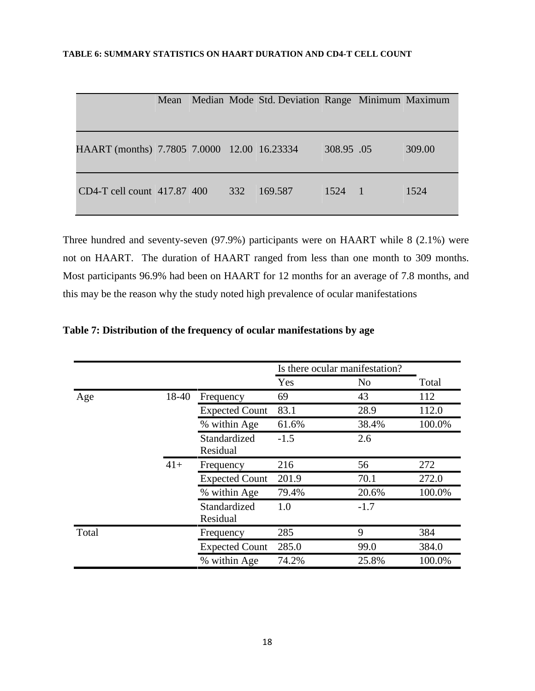|                                             | Mean |     | Median Mode Std. Deviation Range Minimum Maximum |            |        |
|---------------------------------------------|------|-----|--------------------------------------------------|------------|--------|
|                                             |      |     |                                                  |            |        |
| HAART (months) 7.7805 7.0000 12.00 16.23334 |      |     |                                                  | 308.95 .05 | 309.00 |
| $CD4-T$ cell count $417.87$ 400             |      | 332 | 169.587                                          | 1524 1     | 1524   |

Three hundred and seventy-seven (97.9%) participants were on HAART while 8 (2.1%) were not on HAART. The duration of HAART ranged from less than one month to 309 months. Most participants 96.9% had been on HAART for 12 months for an average of 7.8 months, and this may be the reason why the study noted high prevalence of ocular manifestations

|       |       |                          |        | Is there ocular manifestation? |        |
|-------|-------|--------------------------|--------|--------------------------------|--------|
|       |       |                          | Yes    | No.                            | Total  |
| Age   | 18-40 | Frequency                | 69     | 43                             | 112    |
|       |       | <b>Expected Count</b>    | 83.1   | 28.9                           | 112.0  |
|       |       | % within Age             | 61.6%  | 38.4%                          | 100.0% |
|       |       | Standardized<br>Residual | $-1.5$ | 2.6                            |        |
|       | $41+$ | Frequency                | 216    | 56                             | 272    |
|       |       | <b>Expected Count</b>    | 201.9  | 70.1                           | 272.0  |
|       |       | % within Age             | 79.4%  | 20.6%                          | 100.0% |
|       |       | Standardized<br>Residual | 1.0    | $-1.7$                         |        |
| Total |       | Frequency                | 285    | 9                              | 384    |
|       |       | <b>Expected Count</b>    | 285.0  | 99.0                           | 384.0  |
|       |       | % within Age             | 74.2%  | 25.8%                          | 100.0% |

**Table 7: Distribution of the frequency of ocular manifestations by age**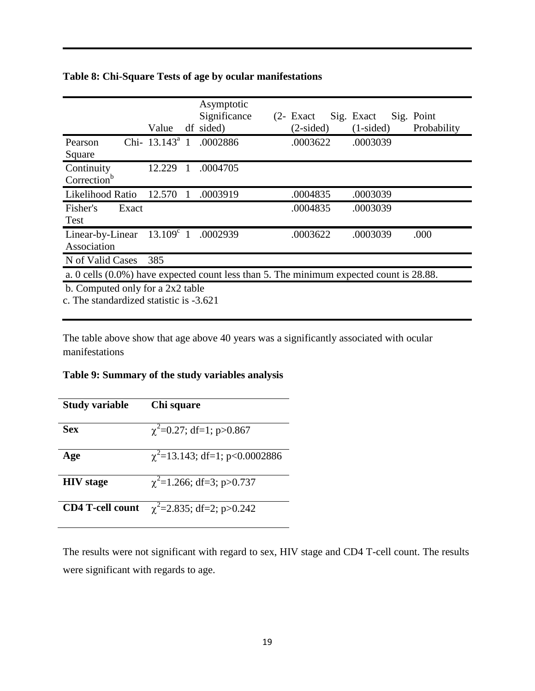|                                                                                         | Value                            |   | Asymptotic<br>Significance<br>df sided) |  | $(2 - Exact)$<br>$(2-sided)$ | Sig. Exact<br>$(1-sided)$ | Sig. Point<br>Probability |
|-----------------------------------------------------------------------------------------|----------------------------------|---|-----------------------------------------|--|------------------------------|---------------------------|---------------------------|
| Pearson<br>Square                                                                       | Chi- $13.143^a$ 1                |   | .0002886                                |  | .0003622                     | .0003039                  |                           |
| Continuity<br>Correction <sup>b</sup>                                                   | 12.229                           | 1 | .0004705                                |  |                              |                           |                           |
| Likelihood Ratio                                                                        | 12.570                           |   | .0003919                                |  | .0004835                     | .0003039                  |                           |
| Fisher's<br>Exact<br>Test                                                               |                                  |   |                                         |  | .0004835                     | .0003039                  |                           |
| Linear-by-Linear<br>Association                                                         |                                  |   | $13.109^{\circ}$ 1 .0002939             |  | .0003622                     | .0003039                  | .000                      |
| N of Valid Cases                                                                        | 385                              |   |                                         |  |                              |                           |                           |
| a. 0 cells (0.0%) have expected count less than 5. The minimum expected count is 28.88. |                                  |   |                                         |  |                              |                           |                           |
|                                                                                         | b. Computed only for a 2x2 table |   |                                         |  |                              |                           |                           |

## **Table 8: Chi-Square Tests of age by ocular manifestations**

c. The standardized statistic is -3.621

The table above show that age above 40 years was a significantly associated with ocular manifestations

## **Table 9: Summary of the study variables analysis**

| <b>Study variable</b>   | Chi square                          |
|-------------------------|-------------------------------------|
| <b>Sex</b>              | $\chi^2$ =0.27; df=1; p>0.867       |
| Age                     | $\chi^2$ =13.143; df=1; p<0.0002886 |
| <b>HIV</b> stage        | $\chi^2$ =1.266; df=3; p>0.737      |
| <b>CD4 T-cell count</b> | $\chi^2$ =2.835; df=2; p>0.242      |

The results were not significant with regard to sex, HIV stage and CD4 T-cell count. The results were significant with regards to age.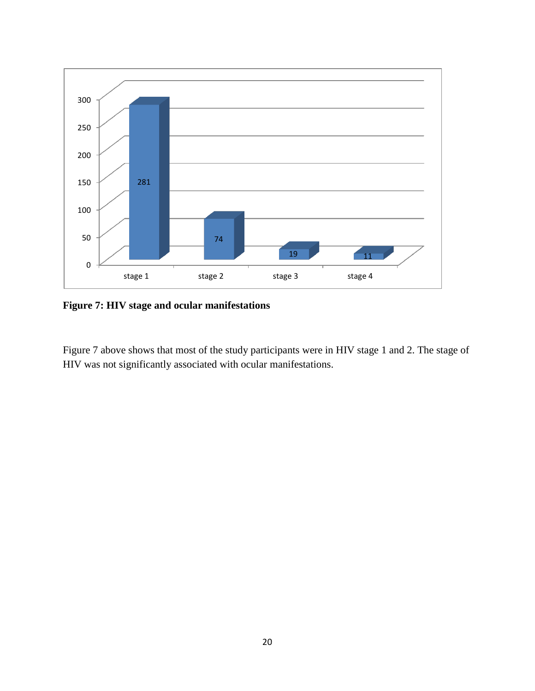

**Figure 7: HIV stage and ocular manifestations**

Figure 7 above shows that most of the study participants were in HIV stage 1 and 2. The stage of HIV was not significantly associated with ocular manifestations.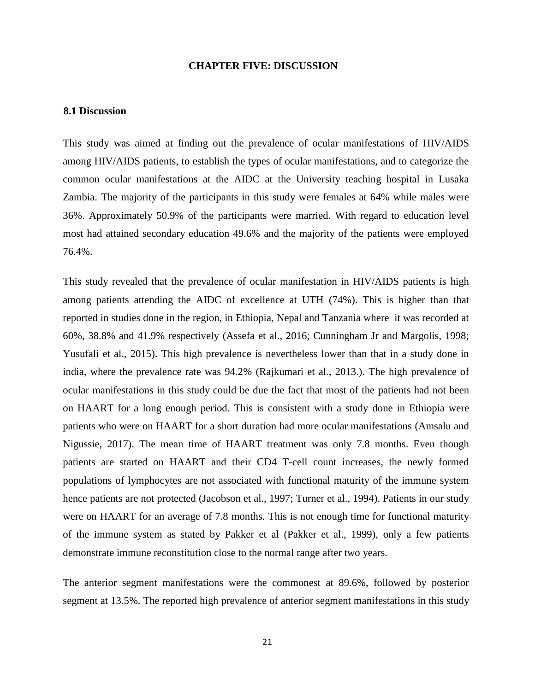#### **CHAPTER FIVE: DISCUSSION**

#### **8.1 Discussion**

This study was aimed at finding out the prevalence of ocular manifestations of HIV/AIDS among HIV/AIDS patients, to establish the types of ocular manifestations, and to categorize the common ocular manifestations at the AIDC at the University teaching hospital in Lusaka Zambia. The majority of the participants in this study were females at 64% while males were 36%. Approximately 50.9% of the participants were married. With regard to education level most had attained secondary education 49.6% and the majority of the patients were employed 76.4%.

This study revealed that the prevalence of ocular manifestation in HIV/AIDS patients is high among patients attending the AIDC of excellence at UTH (74%). This is higher than that reported in studies done in the region, in Ethiopia, Nepal and Tanzania where it was recorded at 60%, 38.8% and 41.9% respectively (Assefa et al., 2016; Cunningham Jr and Margolis, 1998; Yusufali et al., 2015). This high prevalence is nevertheless lower than that in a study done in india, where the prevalence rate was 94.2% (Rajkumari et al., 2013.). The high prevalence of ocular manifestations in this study could be due the fact that most of the patients had not been on HAART for a long enough period. This is consistent with a study done in Ethiopia were patients who were on HAART for a short duration had more ocular manifestations (Amsalu and Nigussie, 2017). The mean time of HAART treatment was only 7.8 months. Even though patients are started on HAART and their CD4 T-cell count increases, the newly formed populations of lymphocytes are not associated with functional maturity of the immune system hence patients are not protected (Jacobson et al., 1997; Turner et al., 1994). Patients in our study were on HAART for an average of 7.8 months. This is not enough time for functional maturity of the immune system as stated by Pakker et al (Pakker et al., 1999), only a few patients demonstrate immune reconstitution close to the normal range after two years.

The anterior segment manifestations were the commonest at 89.6%, followed by posterior segment at 13.5%. The reported high prevalence of anterior segment manifestations in this study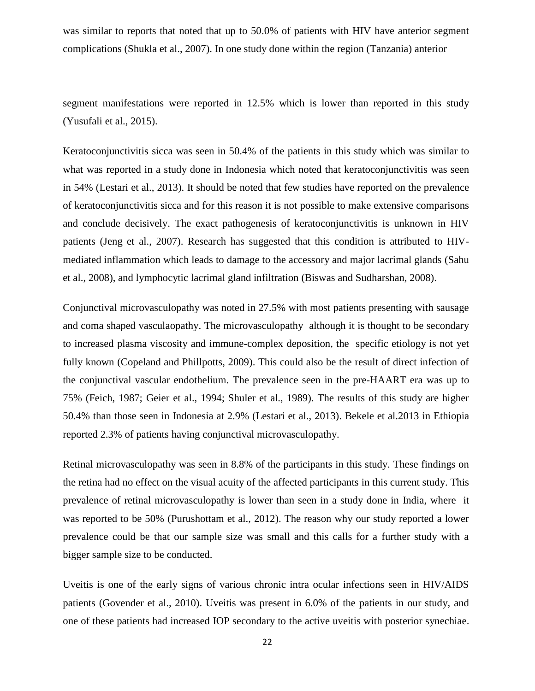was similar to reports that noted that up to 50.0% of patients with HIV have anterior segment complications (Shukla et al., 2007). In one study done within the region (Tanzania) anterior

segment manifestations were reported in 12.5% which is lower than reported in this study (Yusufali et al., 2015).

Keratoconjunctivitis sicca was seen in 50.4% of the patients in this study which was similar to what was reported in a study done in Indonesia which noted that keratoconjunctivitis was seen in 54% (Lestari et al., 2013). It should be noted that few studies have reported on the prevalence of keratoconjunctivitis sicca and for this reason it is not possible to make extensive comparisons and conclude decisively. The exact pathogenesis of keratoconjunctivitis is unknown in HIV patients (Jeng et al., 2007). Research has suggested that this condition is attributed to HIVmediated inflammation which leads to damage to the accessory and major lacrimal glands (Sahu et al., 2008), and lymphocytic lacrimal gland infiltration (Biswas and Sudharshan, 2008).

Conjunctival microvasculopathy was noted in 27.5% with most patients presenting with sausage and coma shaped vasculaopathy. The microvasculopathy although it is thought to be secondary to increased plasma viscosity and immune-complex deposition, the specific etiology is not yet fully known (Copeland and Phillpotts, 2009). This could also be the result of direct infection of the conjunctival vascular endothelium. The prevalence seen in the pre-HAART era was up to 75% (Feich, 1987; Geier et al., 1994; Shuler et al., 1989). The results of this study are higher 50.4% than those seen in Indonesia at 2.9% (Lestari et al., 2013). Bekele et al.2013 in Ethiopia reported 2.3% of patients having conjunctival microvasculopathy.

Retinal microvasculopathy was seen in 8.8% of the participants in this study. These findings on the retina had no effect on the visual acuity of the affected participants in this current study. This prevalence of retinal microvasculopathy is lower than seen in a study done in India, where it was reported to be 50% (Purushottam et al., 2012). The reason why our study reported a lower prevalence could be that our sample size was small and this calls for a further study with a bigger sample size to be conducted.

Uveitis is one of the early signs of various chronic intra ocular infections seen in HIV/AIDS patients (Govender et al., 2010). Uveitis was present in 6.0% of the patients in our study, and one of these patients had increased IOP secondary to the active uveitis with posterior synechiae.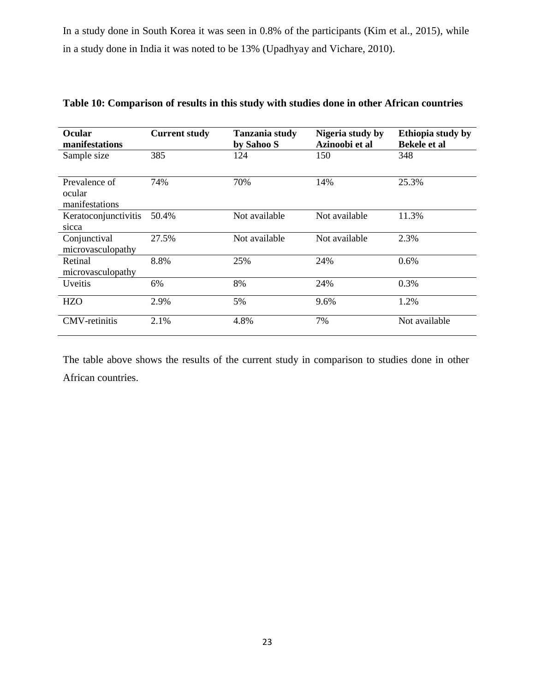In a study done in South Korea it was seen in 0.8% of the participants (Kim et al., 2015), while in a study done in India it was noted to be 13% (Upadhyay and Vichare, 2010).

| <b>Ocular</b><br>manifestations           | <b>Current study</b> | <b>Tanzania study</b><br>by Sahoo S | Nigeria study by<br>Azinoobi et al | Ethiopia study by<br><b>Bekele et al</b> |
|-------------------------------------------|----------------------|-------------------------------------|------------------------------------|------------------------------------------|
| Sample size                               | 385                  | 124                                 | 150                                | 348                                      |
| Prevalence of<br>ocular<br>manifestations | 74%                  | 70%                                 | 14%                                | 25.3%                                    |
| Keratoconjunctivitis<br>sicca             | 50.4%                | Not available                       | Not available                      | 11.3%                                    |
| Conjunctival<br>microvasculopathy         | 27.5%                | Not available                       | Not available                      | 2.3%                                     |
| Retinal<br>microvasculopathy              | 8.8%                 | 25%                                 | 24%                                | 0.6%                                     |
| <i>Uveitis</i>                            | 6%                   | 8%                                  | 24%                                | 0.3%                                     |
| <b>HZO</b>                                | 2.9%                 | 5%                                  | 9.6%                               | 1.2%                                     |
| <b>CMV-retinitis</b>                      | 2.1%                 | 4.8%                                | 7%                                 | Not available                            |

**Table 10: Comparison of results in this study with studies done in other African countries**

The table above shows the results of the current study in comparison to studies done in other African countries.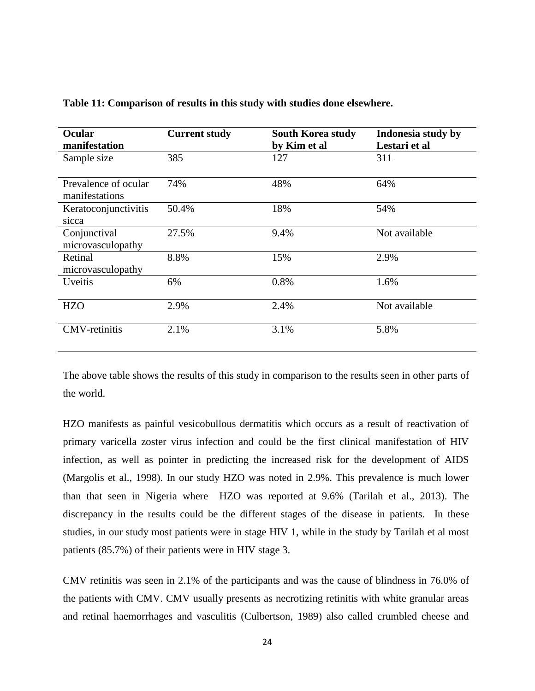| <b>Ocular</b><br>manifestation | <b>Current study</b> | <b>South Korea study</b> | Indonesia study by<br>Lestari et al |
|--------------------------------|----------------------|--------------------------|-------------------------------------|
|                                |                      | by Kim et al             |                                     |
| Sample size                    | 385                  | 127                      | 311                                 |
| Prevalence of ocular           | 74%                  | 48%                      | 64%                                 |
| manifestations                 |                      |                          |                                     |
| Keratoconjunctivitis           | 50.4%                | 18%                      | 54%                                 |
| sicca                          |                      |                          |                                     |
| Conjunctival                   | 27.5%                | 9.4%                     | Not available                       |
| microvasculopathy              |                      |                          |                                     |
| Retinal                        | 8.8%                 | 15%                      | 2.9%                                |
| microvasculopathy              |                      |                          |                                     |
| <b>Uveitis</b>                 | 6%                   | 0.8%                     | 1.6%                                |
|                                |                      |                          |                                     |
| <b>HZO</b>                     | 2.9%                 | 2.4%                     | Not available                       |
|                                |                      |                          |                                     |
| <b>CMV-retinitis</b>           | 2.1%                 | 3.1%                     | 5.8%                                |
|                                |                      |                          |                                     |

**Table 11: Comparison of results in this study with studies done elsewhere.** 

The above table shows the results of this study in comparison to the results seen in other parts of the world.

HZO manifests as painful vesicobullous dermatitis which occurs as a result of reactivation of primary varicella zoster virus infection and could be the first clinical manifestation of HIV infection, as well as pointer in predicting the increased risk for the development of AIDS (Margolis et al., 1998). In our study HZO was noted in 2.9%. This prevalence is much lower than that seen in Nigeria where HZO was reported at 9.6% (Tarilah et al., 2013). The discrepancy in the results could be the different stages of the disease in patients. In these studies, in our study most patients were in stage HIV 1, while in the study by Tarilah et al most patients (85.7%) of their patients were in HIV stage 3.

CMV retinitis was seen in 2.1% of the participants and was the cause of blindness in 76.0% of the patients with CMV. CMV usually presents as necrotizing retinitis with white granular areas and retinal haemorrhages and vasculitis (Culbertson, 1989) also called crumbled cheese and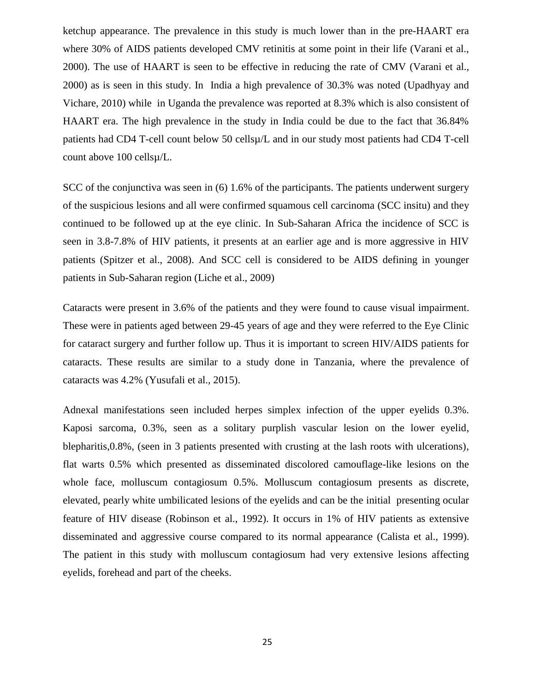ketchup appearance. The prevalence in this study is much lower than in the pre-HAART era where 30% of AIDS patients developed CMV retinitis at some point in their life (Varani et al., 2000). The use of HAART is seen to be effective in reducing the rate of CMV (Varani et al., 2000) as is seen in this study. In India a high prevalence of 30.3% was noted (Upadhyay and Vichare, 2010) while in Uganda the prevalence was reported at 8.3% which is also consistent of HAART era. The high prevalence in the study in India could be due to the fact that 36.84% patients had CD4 T-cell count below 50 cellsµ/L and in our study most patients had CD4 T-cell count above 100 cellsµ/L.

SCC of the conjunctiva was seen in (6) 1.6% of the participants. The patients underwent surgery of the suspicious lesions and all were confirmed squamous cell carcinoma (SCC insitu) and they continued to be followed up at the eye clinic. In Sub-Saharan Africa the incidence of SCC is seen in 3.8-7.8% of HIV patients, it presents at an earlier age and is more aggressive in HIV patients (Spitzer et al., 2008). And SCC cell is considered to be AIDS defining in younger patients in Sub-Saharan region (Liche et al., 2009)

Cataracts were present in 3.6% of the patients and they were found to cause visual impairment. These were in patients aged between 29-45 years of age and they were referred to the Eye Clinic for cataract surgery and further follow up. Thus it is important to screen HIV/AIDS patients for cataracts. These results are similar to a study done in Tanzania, where the prevalence of cataracts was 4.2% (Yusufali et al., 2015).

Adnexal manifestations seen included herpes simplex infection of the upper eyelids 0.3%. Kaposi sarcoma, 0.3%, seen as a solitary purplish vascular lesion on the lower eyelid, blepharitis,0.8%, (seen in 3 patients presented with crusting at the lash roots with ulcerations), flat warts 0.5% which presented as disseminated discolored camouflage-like lesions on the whole face, molluscum contagiosum 0.5%. Molluscum contagiosum presents as discrete, elevated, pearly white umbilicated lesions of the eyelids and can be the initial presenting ocular feature of HIV disease (Robinson et al., 1992). It occurs in 1% of HIV patients as extensive disseminated and aggressive course compared to its normal appearance (Calista et al., 1999). The patient in this study with molluscum contagiosum had very extensive lesions affecting eyelids, forehead and part of the cheeks.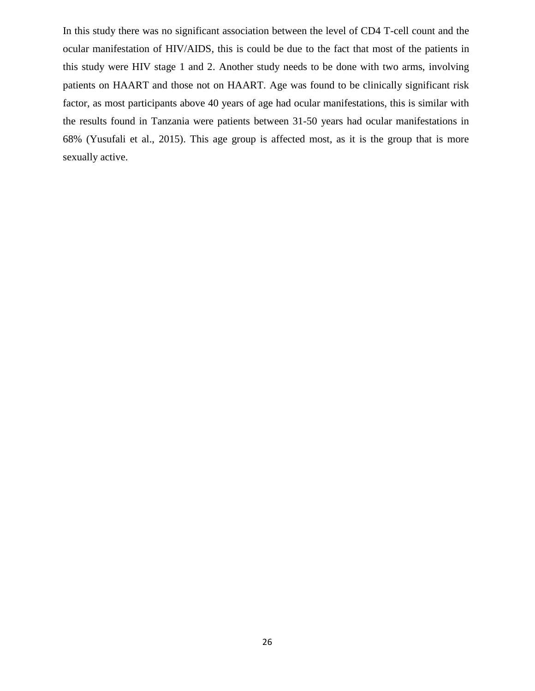In this study there was no significant association between the level of CD4 T-cell count and the ocular manifestation of HIV/AIDS, this is could be due to the fact that most of the patients in this study were HIV stage 1 and 2. Another study needs to be done with two arms, involving patients on HAART and those not on HAART. Age was found to be clinically significant risk factor, as most participants above 40 years of age had ocular manifestations, this is similar with the results found in Tanzania were patients between 31-50 years had ocular manifestations in 68% (Yusufali et al., 2015). This age group is affected most, as it is the group that is more sexually active.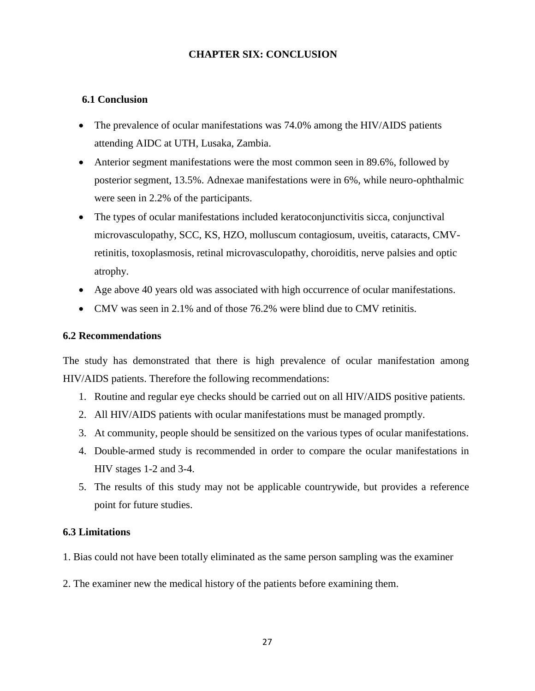## **CHAPTER SIX: CONCLUSION**

## **6.1 Conclusion**

- The prevalence of ocular manifestations was 74.0% among the HIV/AIDS patients attending AIDC at UTH, Lusaka, Zambia.
- Anterior segment manifestations were the most common seen in 89.6%, followed by posterior segment, 13.5%. Adnexae manifestations were in 6%, while neuro-ophthalmic were seen in 2.2% of the participants.
- The types of ocular manifestations included keratoconjunctivitis sicca, conjunctival microvasculopathy, SCC, KS, HZO, molluscum contagiosum, uveitis, cataracts, CMVretinitis, toxoplasmosis, retinal microvasculopathy, choroiditis, nerve palsies and optic atrophy.
- Age above 40 years old was associated with high occurrence of ocular manifestations.
- CMV was seen in 2.1% and of those 76.2% were blind due to CMV retinitis.

## **6.2 Recommendations**

The study has demonstrated that there is high prevalence of ocular manifestation among HIV/AIDS patients. Therefore the following recommendations:

- 1. Routine and regular eye checks should be carried out on all HIV/AIDS positive patients.
- 2. All HIV/AIDS patients with ocular manifestations must be managed promptly.
- 3. At community, people should be sensitized on the various types of ocular manifestations.
- 4. Double-armed study is recommended in order to compare the ocular manifestations in HIV stages 1-2 and 3-4.
- 5. The results of this study may not be applicable countrywide, but provides a reference point for future studies.

## **6.3 Limitations**

- 1. Bias could not have been totally eliminated as the same person sampling was the examiner
- 2. The examiner new the medical history of the patients before examining them.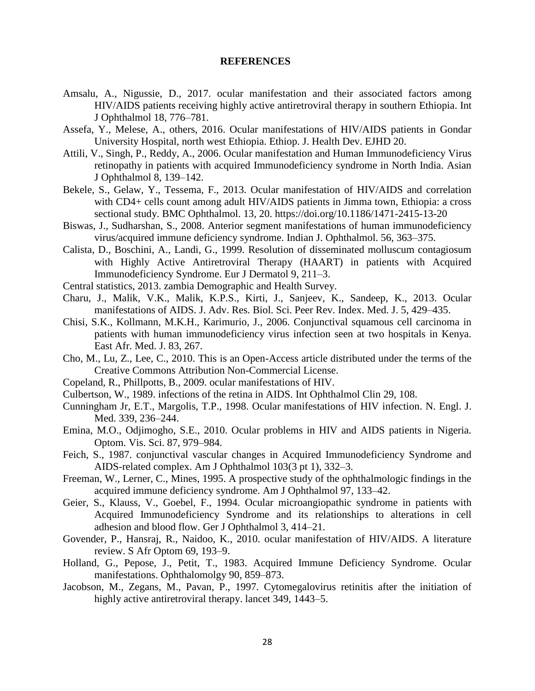#### **REFERENCES**

- Amsalu, A., Nigussie, D., 2017. ocular manifestation and their associated factors among HIV/AIDS patients receiving highly active antiretroviral therapy in southern Ethiopia. Int J Ophthalmol 18, 776–781.
- Assefa, Y., Melese, A., others, 2016. Ocular manifestations of HIV/AIDS patients in Gondar University Hospital, north west Ethiopia. Ethiop. J. Health Dev. EJHD 20.
- Attili, V., Singh, P., Reddy, A., 2006. Ocular manifestation and Human Immunodeficiency Virus retinopathy in patients with acquired Immunodeficiency syndrome in North India. Asian J Ophthalmol 8, 139–142.
- Bekele, S., Gelaw, Y., Tessema, F., 2013. Ocular manifestation of HIV/AIDS and correlation with CD4+ cells count among adult HIV/AIDS patients in Jimma town, Ethiopia: a cross sectional study. BMC Ophthalmol. 13, 20. https://doi.org/10.1186/1471-2415-13-20
- Biswas, J., Sudharshan, S., 2008. Anterior segment manifestations of human immunodeficiency virus/acquired immune deficiency syndrome. Indian J. Ophthalmol. 56, 363–375.
- Calista, D., Boschini, A., Landi, G., 1999. Resolution of disseminated molluscum contagiosum with Highly Active Antiretroviral Therapy (HAART) in patients with Acquired Immunodeficiency Syndrome. Eur J Dermatol 9, 211–3.
- Central statistics, 2013. zambia Demographic and Health Survey.
- Charu, J., Malik, V.K., Malik, K.P.S., Kirti, J., Sanjeev, K., Sandeep, K., 2013. Ocular manifestations of AIDS. J. Adv. Res. Biol. Sci. Peer Rev. Index. Med. J. 5, 429–435.
- Chisi, S.K., Kollmann, M.K.H., Karimurio, J., 2006. Conjunctival squamous cell carcinoma in patients with human immunodeficiency virus infection seen at two hospitals in Kenya. East Afr. Med. J. 83, 267.
- Cho, M., Lu, Z., Lee, C., 2010. This is an Open-Access article distributed under the terms of the Creative Commons Attribution Non-Commercial License.
- Copeland, R., Phillpotts, B., 2009. ocular manifestations of HIV.
- Culbertson, W., 1989. infections of the retina in AIDS. Int Ophthalmol Clin 29, 108.
- Cunningham Jr, E.T., Margolis, T.P., 1998. Ocular manifestations of HIV infection. N. Engl. J. Med. 339, 236–244.
- Emina, M.O., Odjimogho, S.E., 2010. Ocular problems in HIV and AIDS patients in Nigeria. Optom. Vis. Sci. 87, 979–984.
- Feich, S., 1987. conjunctival vascular changes in Acquired Immunodeficiency Syndrome and AIDS-related complex. Am J Ophthalmol 103(3 pt 1), 332–3.
- Freeman, W., Lerner, C., Mines, 1995. A prospective study of the ophthalmologic findings in the acquired immune deficiency syndrome. Am J Ophthalmol 97, 133–42.
- Geier, S., Klauss, V., Goebel, F., 1994. Ocular microangiopathic syndrome in patients with Acquired Immunodeficiency Syndrome and its relationships to alterations in cell adhesion and blood flow. Ger J Ophthalmol 3, 414–21.
- Govender, P., Hansraj, R., Naidoo, K., 2010. ocular manifestation of HIV/AIDS. A literature review. S Afr Optom 69, 193–9.
- Holland, G., Pepose, J., Petit, T., 1983. Acquired Immune Deficiency Syndrome. Ocular manifestations. Ophthalomolgy 90, 859–873.
- Jacobson, M., Zegans, M., Pavan, P., 1997. Cytomegalovirus retinitis after the initiation of highly active antiretroviral therapy. lancet 349, 1443–5.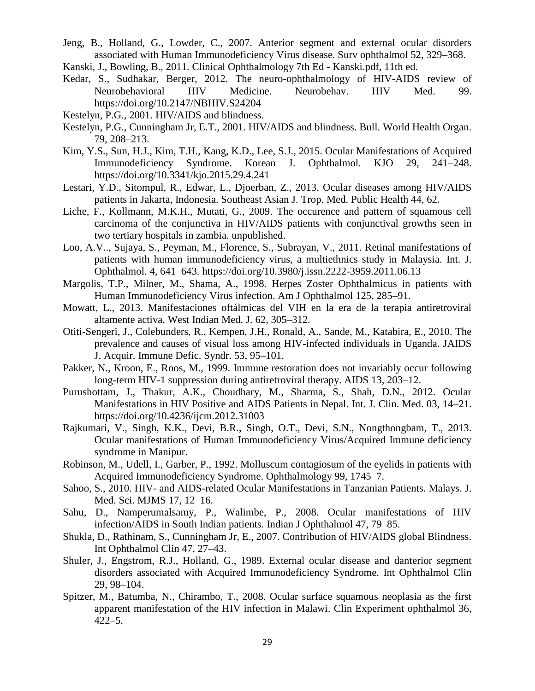- Jeng, B., Holland, G., Lowder, C., 2007. Anterior segment and external ocular disorders associated with Human Immunodeficiency Virus disease. Surv ophthalmol 52, 329–368.
- Kanski, J., Bowling, B., 2011. Clinical Ophthalmology 7th Ed Kanski.pdf, 11th ed.
- Kedar, S., Sudhakar, Berger, 2012. The neuro-ophthalmology of HIV-AIDS review of Neurobehavioral HIV Medicine. Neurobehav. HIV Med. 99. https://doi.org/10.2147/NBHIV.S24204
- Kestelyn, P.G., 2001. HIV/AIDS and blindness.
- Kestelyn, P.G., Cunningham Jr, E.T., 2001. HIV/AIDS and blindness. Bull. World Health Organ. 79, 208–213.
- Kim, Y.S., Sun, H.J., Kim, T.H., Kang, K.D., Lee, S.J., 2015. Ocular Manifestations of Acquired Immunodeficiency Syndrome. Korean J. Ophthalmol. KJO 29, 241–248. https://doi.org/10.3341/kjo.2015.29.4.241
- Lestari, Y.D., Sitompul, R., Edwar, L., Djoerban, Z., 2013. Ocular diseases among HIV/AIDS patients in Jakarta, Indonesia. Southeast Asian J. Trop. Med. Public Health 44, 62.
- Liche, F., Kollmann, M.K.H., Mutati, G., 2009. The occurence and pattern of squamous cell carcinoma of the conjunctiva in HIV/AIDS patients with conjunctival growths seen in two tertiary hospitals in zambia. unpublished.
- Loo, A.V.., Sujaya, S., Peyman, M., Florence, S., Subrayan, V., 2011. Retinal manifestations of patients with human immunodeficiency virus, a multiethnics study in Malaysia. Int. J. Ophthalmol. 4, 641–643. https://doi.org/10.3980/j.issn.2222-3959.2011.06.13
- Margolis, T.P., Milner, M., Shama, A., 1998. Herpes Zoster Ophthalmicus in patients with Human Immunodeficiency Virus infection. Am J Ophthalmol 125, 285–91.
- Mowatt, L., 2013. Manifestaciones oftálmicas del VIH en la era de la terapia antiretroviral altamente activa. West Indian Med. J. 62, 305–312.
- Otiti-Sengeri, J., Colebunders, R., Kempen, J.H., Ronald, A., Sande, M., Katabira, E., 2010. The prevalence and causes of visual loss among HIV-infected individuals in Uganda. JAIDS J. Acquir. Immune Defic. Syndr. 53, 95–101.
- Pakker, N., Kroon, E., Roos, M., 1999. Immune restoration does not invariably occur following long-term HIV-1 suppression during antiretroviral therapy. AIDS 13, 203–12.
- Purushottam, J., Thakur, A.K., Choudhary, M., Sharma, S., Shah, D.N., 2012. Ocular Manifestations in HIV Positive and AIDS Patients in Nepal. Int. J. Clin. Med. 03, 14–21. https://doi.org/10.4236/ijcm.2012.31003
- Rajkumari, V., Singh, K.K., Devi, B.R., Singh, O.T., Devi, S.N., Nongthongbam, T., 2013. Ocular manifestations of Human Immunodeficiency Virus/Acquired Immune deficiency syndrome in Manipur.
- Robinson, M., Udell, I., Garber, P., 1992. Molluscum contagiosum of the eyelids in patients with Acquired Immunodeficiency Syndrome. Ophthalmology 99, 1745–7.
- Sahoo, S., 2010. HIV- and AIDS-related Ocular Manifestations in Tanzanian Patients. Malays. J. Med. Sci. MJMS 17, 12–16.
- Sahu, D., Namperumalsamy, P., Walimbe, P., 2008. Ocular manifestations of HIV infection/AIDS in South Indian patients. Indian J Ophthalmol 47, 79–85.
- Shukla, D., Rathinam, S., Cunningham Jr, E., 2007. Contribution of HIV/AIDS global Blindness. Int Ophthalmol Clin 47, 27–43.
- Shuler, J., Engstrom, R.J., Holland, G., 1989. External ocular disease and danterior segment disorders associated with Acquired Immunodeficiency Syndrome. Int Ophthalmol Clin 29, 98–104.
- Spitzer, M., Batumba, N., Chirambo, T., 2008. Ocular surface squamous neoplasia as the first apparent manifestation of the HIV infection in Malawi. Clin Experiment ophthalmol 36, 422–5.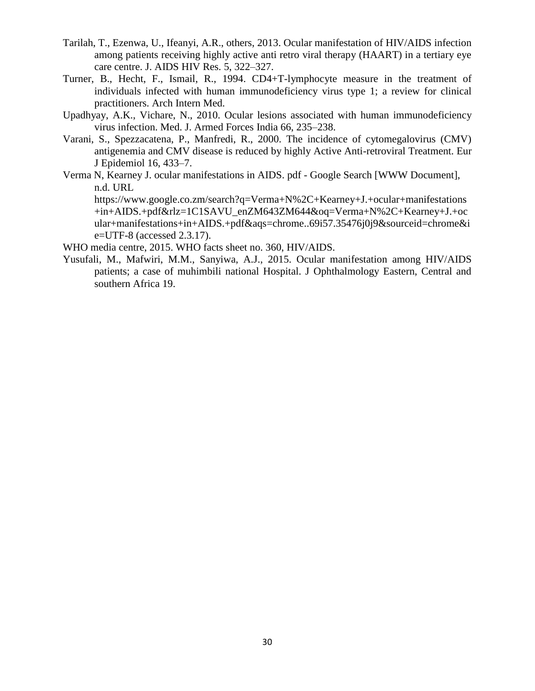- Tarilah, T., Ezenwa, U., Ifeanyi, A.R., others, 2013. Ocular manifestation of HIV/AIDS infection among patients receiving highly active anti retro viral therapy (HAART) in a tertiary eye care centre. J. AIDS HIV Res. 5, 322–327.
- Turner, B., Hecht, F., Ismail, R., 1994. CD4+T-lymphocyte measure in the treatment of individuals infected with human immunodeficiency virus type 1; a review for clinical practitioners. Arch Intern Med.
- Upadhyay, A.K., Vichare, N., 2010. Ocular lesions associated with human immunodeficiency virus infection. Med. J. Armed Forces India 66, 235–238.
- Varani, S., Spezzacatena, P., Manfredi, R., 2000. The incidence of cytomegalovirus (CMV) antigenemia and CMV disease is reduced by highly Active Anti-retroviral Treatment. Eur J Epidemiol 16, 433–7.
- Verma N, Kearney J. ocular manifestations in AIDS. pdf Google Search [WWW Document], n.d. URL

https://www.google.co.zm/search?q=Verma+N%2C+Kearney+J.+ocular+manifestations +in+AIDS.+pdf&rlz=1C1SAVU\_enZM643ZM644&oq=Verma+N%2C+Kearney+J.+oc ular+manifestations+in+AIDS.+pdf&aqs=chrome..69i57.35476j0j9&sourceid=chrome&i e=UTF-8 (accessed 2.3.17).

WHO media centre, 2015. WHO facts sheet no. 360, HIV/AIDS.

Yusufali, M., Mafwiri, M.M., Sanyiwa, A.J., 2015. Ocular manifestation among HIV/AIDS patients; a case of muhimbili national Hospital. J Ophthalmology Eastern, Central and southern Africa 19.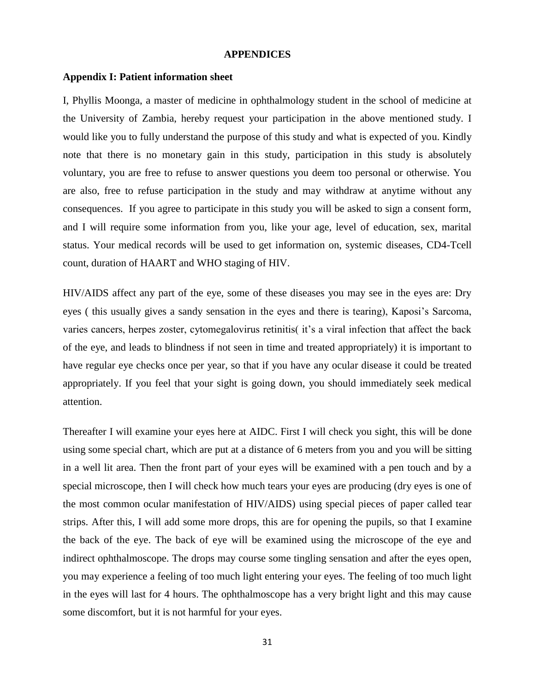#### **APPENDICES**

#### **Appendix I: Patient information sheet**

I, Phyllis Moonga, a master of medicine in ophthalmology student in the school of medicine at the University of Zambia, hereby request your participation in the above mentioned study. I would like you to fully understand the purpose of this study and what is expected of you. Kindly note that there is no monetary gain in this study, participation in this study is absolutely voluntary, you are free to refuse to answer questions you deem too personal or otherwise. You are also, free to refuse participation in the study and may withdraw at anytime without any consequences. If you agree to participate in this study you will be asked to sign a consent form, and I will require some information from you, like your age, level of education, sex, marital status. Your medical records will be used to get information on, systemic diseases, CD4-Tcell count, duration of HAART and WHO staging of HIV.

HIV/AIDS affect any part of the eye, some of these diseases you may see in the eyes are: Dry eyes ( this usually gives a sandy sensation in the eyes and there is tearing), Kaposi's Sarcoma, varies cancers, herpes zoster, cytomegalovirus retinitis( it's a viral infection that affect the back of the eye, and leads to blindness if not seen in time and treated appropriately) it is important to have regular eye checks once per year, so that if you have any ocular disease it could be treated appropriately. If you feel that your sight is going down, you should immediately seek medical attention.

Thereafter I will examine your eyes here at AIDC. First I will check you sight, this will be done using some special chart, which are put at a distance of 6 meters from you and you will be sitting in a well lit area. Then the front part of your eyes will be examined with a pen touch and by a special microscope, then I will check how much tears your eyes are producing (dry eyes is one of the most common ocular manifestation of HIV/AIDS) using special pieces of paper called tear strips. After this, I will add some more drops, this are for opening the pupils, so that I examine the back of the eye. The back of eye will be examined using the microscope of the eye and indirect ophthalmoscope. The drops may course some tingling sensation and after the eyes open, you may experience a feeling of too much light entering your eyes. The feeling of too much light in the eyes will last for 4 hours. The ophthalmoscope has a very bright light and this may cause some discomfort, but it is not harmful for your eyes.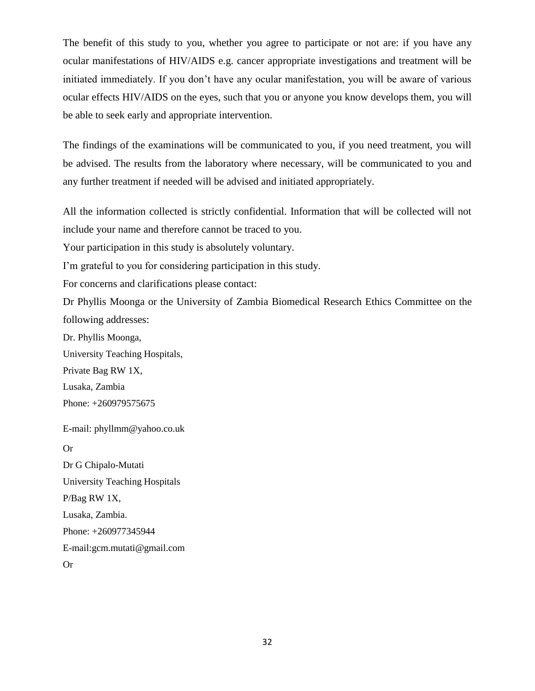The benefit of this study to you, whether you agree to participate or not are: if you have any ocular manifestations of HIV/AIDS e.g. cancer appropriate investigations and treatment will be initiated immediately. If you don't have any ocular manifestation, you will be aware of various ocular effects HIV/AIDS on the eyes, such that you or anyone you know develops them, you will be able to seek early and appropriate intervention.

The findings of the examinations will be communicated to you, if you need treatment, you will be advised. The results from the laboratory where necessary, will be communicated to you and any further treatment if needed will be advised and initiated appropriately.

All the information collected is strictly confidential. Information that will be collected will not include your name and therefore cannot be traced to you.

Your participation in this study is absolutely voluntary.

I'm grateful to you for considering participation in this study.

For concerns and clarifications please contact:

Dr Phyllis Moonga or the University of Zambia Biomedical Research Ethics Committee on the following addresses:

Dr. Phyllis Moonga, University Teaching Hospitals, Private Bag RW 1X, Lusaka, Zambia Phone: +260979575675

E-mail: phyllmm@yahoo.co.uk Or Dr G Chipalo-Mutati University Teaching Hospitals P/Bag RW 1X, Lusaka, Zambia. Phone: +260977345944 E-mail:gcm.mutati@gmail.com

Or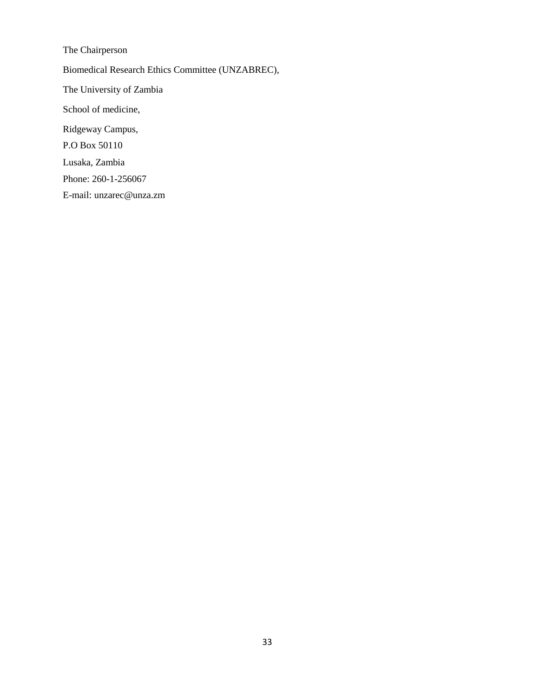The Chairperson Biomedical Research Ethics Committee (UNZABREC), The University of Zambia School of medicine, Ridgeway Campus, P.O Box 50110 Lusaka, Zambia Phone: 260-1-256067

E-mail: unzarec@unza.zm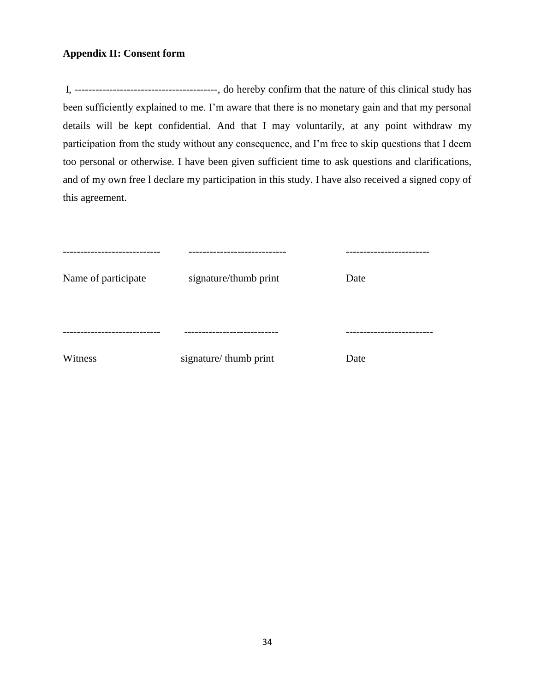## **Appendix II: Consent form**

I, -----------------------------------------, do hereby confirm that the nature of this clinical study has been sufficiently explained to me. I'm aware that there is no monetary gain and that my personal details will be kept confidential. And that I may voluntarily, at any point withdraw my participation from the study without any consequence, and I'm free to skip questions that I deem too personal or otherwise. I have been given sufficient time to ask questions and clarifications, and of my own free l declare my participation in this study. I have also received a signed copy of this agreement.

| ---------           |                       | --------- |
|---------------------|-----------------------|-----------|
| Name of participate | signature/thumb print | Date      |
|                     |                       | --------  |
| Witness             | signature/thumb print | Date      |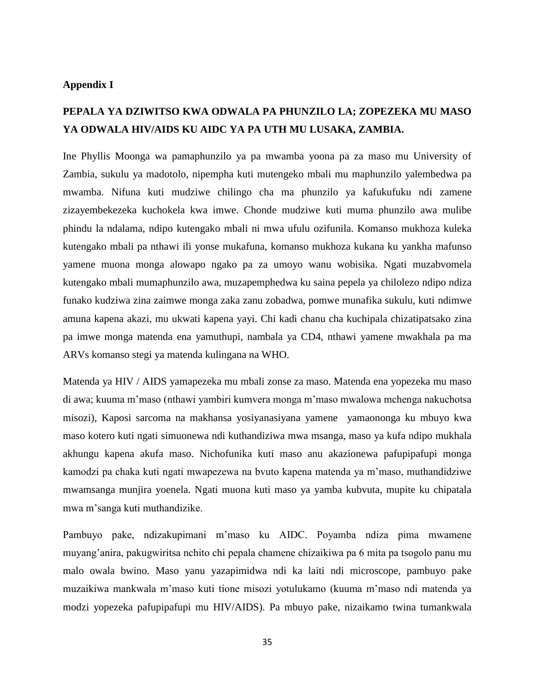#### **Appendix I**

# **PEPALA YA DZIWITSO KWA ODWALA PA PHUNZILO LA; ZOPEZEKA MU MASO YA ODWALA HIV/AIDS KU AIDC YA PA UTH MU LUSAKA, ZAMBIA.**

Ine Phyllis Moonga wa pamaphunzilo ya pa mwamba yoona pa za maso mu University of Zambia, sukulu ya madotolo, nipempha kuti mutengeko mbali mu maphunzilo yalembedwa pa mwamba. Nifuna kuti mudziwe chilingo cha ma phunzilo ya kafukufuku ndi zamene zizayembekezeka kuchokela kwa imwe. Chonde mudziwe kuti muma phunzilo awa mulibe phindu la ndalama, ndipo kutengako mbali ni mwa ufulu ozifunila. Komanso mukhoza kuleka kutengako mbali pa nthawi ili yonse mukafuna, komanso mukhoza kukana ku yankha mafunso yamene muona monga alowapo ngako pa za umoyo wanu wobisika. Ngati muzabvomela kutengako mbali mumaphunzilo awa, muzapemphedwa ku saina pepela ya chilolezo ndipo ndiza funako kudziwa zina zaimwe monga zaka zanu zobadwa, pomwe munafika sukulu, kuti ndimwe amuna kapena akazi, mu ukwati kapena yayi. Chi kadi chanu cha kuchipala chizatipatsako zina pa imwe monga matenda ena yamuthupi, nambala ya CD4, nthawi yamene mwakhala pa ma ARVs komanso stegi ya matenda kulingana na WHO.

Matenda ya HIV / AIDS yamapezeka mu mbali zonse za maso. Matenda ena yopezeka mu maso di awa; kuuma m'maso (nthawi yambiri kumvera monga m'maso mwalowa mchenga nakuchotsa misozi), Kaposi sarcoma na makhansa yosiyanasiyana yamene yamaononga ku mbuyo kwa maso kotero kuti ngati simuonewa ndi kuthandiziwa mwa msanga, maso ya kufa ndipo mukhala akhungu kapena akufa maso. Nichofunika kuti maso anu akazionewa pafupipafupi monga kamodzi pa chaka kuti ngati mwapezewa na bvuto kapena matenda ya m'maso, muthandidziwe mwamsanga munjira yoenela. Ngati muona kuti maso ya yamba kubvuta, mupite ku chipatala mwa m'sanga kuti muthandizike.

Pambuyo pake, ndizakupimani m'maso ku AIDC. Poyamba ndiza pima mwamene muyang'anira, pakugwiritsa nchito chi pepala chamene chizaikiwa pa 6 mita pa tsogolo panu mu malo owala bwino. Maso yanu yazapimidwa ndi ka laiti ndi microscope, pambuyo pake muzaikiwa mankwala m'maso kuti tione misozi yotulukamo (kuuma m'maso ndi matenda ya modzi yopezeka pafupipafupi mu HIV/AIDS). Pa mbuyo pake, nizaikamo twina tumankwala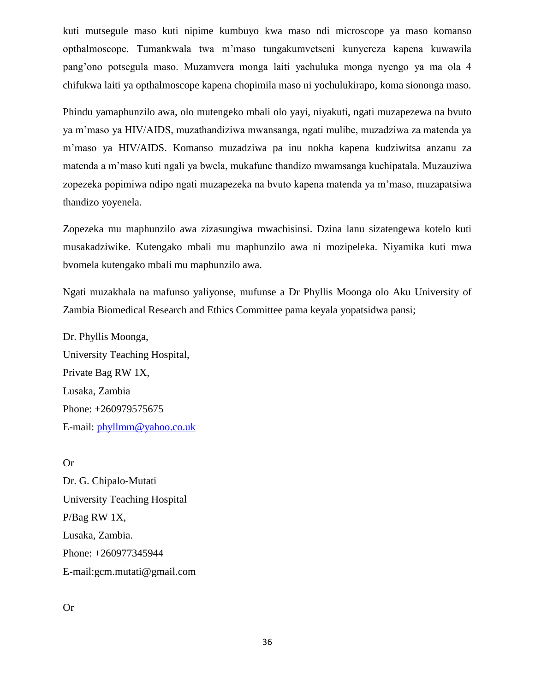kuti mutsegule maso kuti nipime kumbuyo kwa maso ndi microscope ya maso komanso opthalmoscope. Tumankwala twa m'maso tungakumvetseni kunyereza kapena kuwawila pang'ono potsegula maso. Muzamvera monga laiti yachuluka monga nyengo ya ma ola 4 chifukwa laiti ya opthalmoscope kapena chopimila maso ni yochulukirapo, koma siononga maso.

Phindu yamaphunzilo awa, olo mutengeko mbali olo yayi, niyakuti, ngati muzapezewa na bvuto ya m'maso ya HIV/AIDS, muzathandiziwa mwansanga, ngati mulibe, muzadziwa za matenda ya m'maso ya HIV/AIDS. Komanso muzadziwa pa inu nokha kapena kudziwitsa anzanu za matenda a m'maso kuti ngali ya bwela, mukafune thandizo mwamsanga kuchipatala. Muzauziwa zopezeka popimiwa ndipo ngati muzapezeka na bvuto kapena matenda ya m'maso, muzapatsiwa thandizo yoyenela.

Zopezeka mu maphunzilo awa zizasungiwa mwachisinsi. Dzina lanu sizatengewa kotelo kuti musakadziwike. Kutengako mbali mu maphunzilo awa ni mozipeleka. Niyamika kuti mwa bvomela kutengako mbali mu maphunzilo awa.

Ngati muzakhala na mafunso yaliyonse, mufunse a Dr Phyllis Moonga olo Aku University of Zambia Biomedical Research and Ethics Committee pama keyala yopatsidwa pansi;

Dr. Phyllis Moonga, University Teaching Hospital, Private Bag RW 1X, Lusaka, Zambia Phone: +260979575675 E-mail: [phyllmm@yahoo.co.uk](mailto:phyllmm@yahoo.co.uk)

Or Dr. G. Chipalo-Mutati University Teaching Hospital P/Bag RW 1X, Lusaka, Zambia. Phone: +260977345944 E-mail:gcm.mutati@gmail.com

Or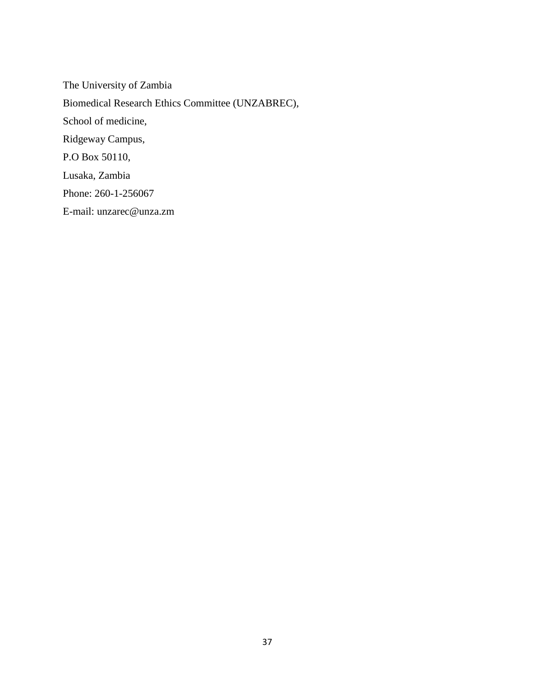The University of Zambia Biomedical Research Ethics Committee (UNZABREC), School of medicine, Ridgeway Campus, P.O Box 50110, Lusaka, Zambia Phone: 260-1-256067 E-mail: unzarec@unza.zm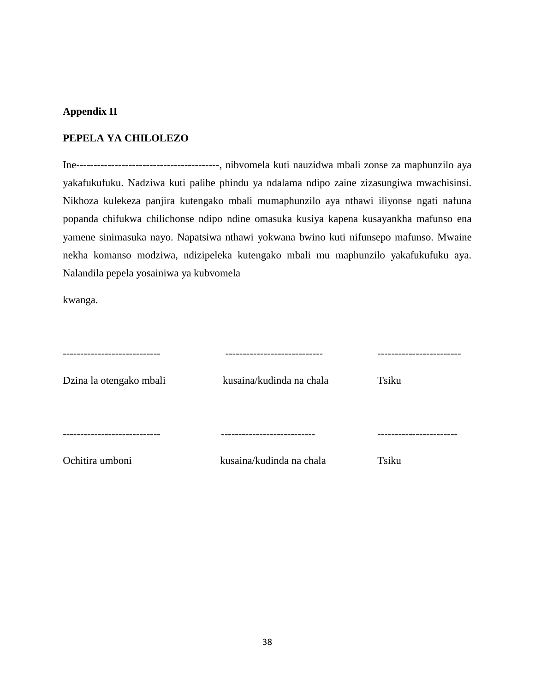## **Appendix II**

#### **PEPELA YA CHILOLEZO**

Ine-----------------------------------------, nibvomela kuti nauzidwa mbali zonse za maphunzilo aya yakafukufuku. Nadziwa kuti palibe phindu ya ndalama ndipo zaine zizasungiwa mwachisinsi. Nikhoza kulekeza panjira kutengako mbali mumaphunzilo aya nthawi iliyonse ngati nafuna popanda chifukwa chilichonse ndipo ndine omasuka kusiya kapena kusayankha mafunso ena yamene sinimasuka nayo. Napatsiwa nthawi yokwana bwino kuti nifunsepo mafunso. Mwaine nekha komanso modziwa, ndizipeleka kutengako mbali mu maphunzilo yakafukufuku aya. Nalandila pepela yosainiwa ya kubvomela

kwanga.

| ----------------        | -------------------------- |                 |
|-------------------------|----------------------------|-----------------|
| Dzina la otengako mbali | kusaina/kudinda na chala   | Tsiku           |
|                         |                            | --------------- |
| Ochitira umboni         | kusaina/kudinda na chala   | Tsiku           |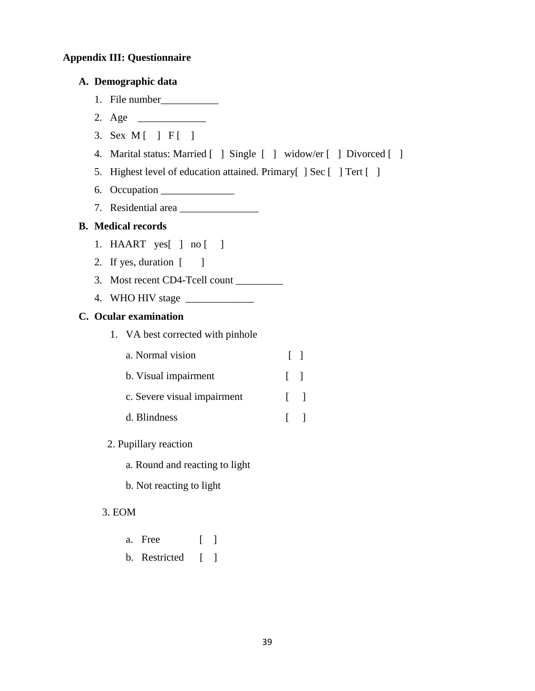# **Appendix III: Questionnaire**

| A. Demographic data                                                 |                    |
|---------------------------------------------------------------------|--------------------|
|                                                                     |                    |
|                                                                     |                    |
| 3. Sex M [ ] F [ ]                                                  |                    |
| 4. Marital status: Married [ ] Single [ ] widow/er [ ] Divorced [ ] |                    |
| 5. Highest level of education attained. Primary [] Sec [] Tert []   |                    |
| 6.                                                                  |                    |
|                                                                     |                    |
| <b>B.</b> Medical records                                           |                    |
| 1. HAART $yes[ ] no [ ]$                                            |                    |
| 2. If yes, duration [ ]                                             |                    |
|                                                                     |                    |
|                                                                     |                    |
| C. Ocular examination                                               |                    |
| 1. VA best corrected with pinhole                                   |                    |
| a. Normal vision                                                    | $\lceil \rceil$    |
| b. Visual impairment                                                | $\lceil$ 1         |
| c. Severe visual impairment                                         | $\lceil$<br>$\Box$ |
| d. Blindness                                                        | $\lceil$<br>$\Box$ |
| 2. Pupillary reaction                                               |                    |
| a. Round and reacting to light                                      |                    |
| b. Not reacting to light                                            |                    |
| 3. EOM                                                              |                    |
| Free<br>$\lceil$ $\rceil$<br>a.                                     |                    |
| b. Restricted [ ]                                                   |                    |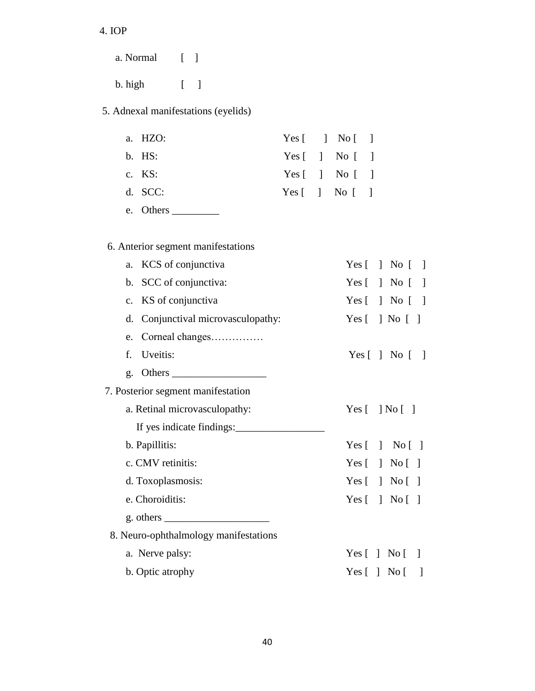# 4. IOP

 a. Normal [ ] b. high [ ]

## 5. Adnexal manifestations (eyelids)

| a. HZO:   |  | Yes $\lceil \cdot \rceil$ No $\lceil \cdot \rceil$ |  |
|-----------|--|----------------------------------------------------|--|
| $b.$ HS:  |  | Yes $\lceil \cdot \rceil$ No $\lceil \cdot \rceil$ |  |
| c. $KS$ : |  | Yes $\lceil \quad \rceil$ No $\lceil \quad \rceil$ |  |
| $d.$ SCC: |  | Yes $\lceil \cdot \rceil$ No $\lceil \cdot \rceil$ |  |

e. Others \_\_\_\_\_\_\_\_\_

# 6. Anterior segment manifestations

| KCS of conjunctiva<br>a.                                     | Yes $\lceil \; \rceil$ No $\lceil$<br>$\blacksquare$ |
|--------------------------------------------------------------|------------------------------------------------------|
| b. SCC of conjunctiva:                                       | Yes $[ \ ]$ No $[$<br>$\overline{\phantom{a}}$       |
| c. KS of conjunctiva                                         | Yes $[ \ ]$ No $[$<br>$\blacksquare$                 |
| Conjunctival microvasculopathy:<br>d.                        | Yes $\lceil \ \rceil$ No $\lceil \ \rceil$           |
| Corneal changes<br>e.                                        |                                                      |
| f.<br>Uveitis:                                               | Yes $\lceil \; \rceil$ No $\lceil \; \rceil$         |
| g.                                                           |                                                      |
| 7. Posterior segment manifestation                           |                                                      |
| a. Retinal microvasculopathy:                                | Yes $\lceil \; \rceil$ No $\lceil \; \rceil$         |
| If yes indicate findings:                                    |                                                      |
| b. Papillitis:                                               | Yes $\lceil$ $\rceil$ No $\lceil$ $\rceil$           |
| c. CMV retinitis:                                            | Yes $\lceil \ \rceil$ No $\lceil \ \rceil$           |
| d. Toxoplasmosis:                                            | Yes $\lceil$   No $\lceil$                           |
| e. Choroiditis:                                              | Yes $\lceil$   No $\lceil$                           |
| g. others $\frac{1}{\sqrt{1-\frac{1}{2}} \cdot \frac{1}{2}}$ |                                                      |
| 8. Neuro-ophthalmology manifestations                        |                                                      |
| a. Nerve palsy:                                              | Yes $\lceil \ \rceil$ No $\lceil$<br>$\blacksquare$  |
|                                                              |                                                      |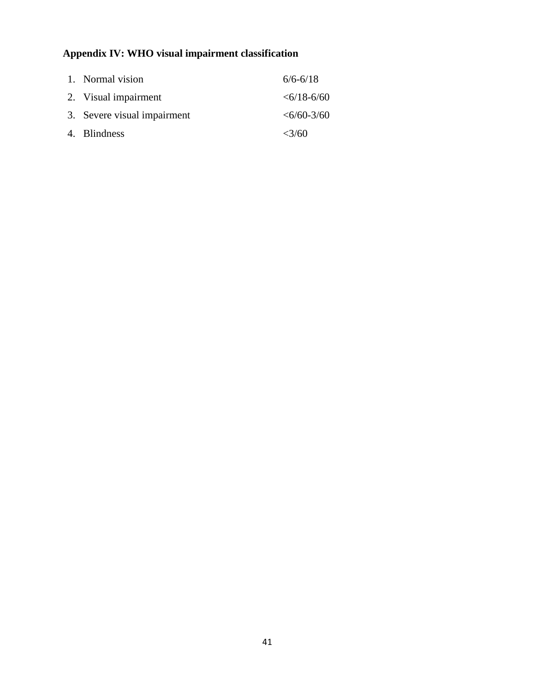# **Appendix IV: WHO visual impairment classification**

| 1. Normal vision            | $6/6 - 6/18$       |
|-----------------------------|--------------------|
| 2. Visual impairment        | $\leq 6/18 - 6/60$ |
| 3. Severe visual impairment | $\leq 6/60 - 3/60$ |
| 4. Blindness                | $<\frac{3}{60}$    |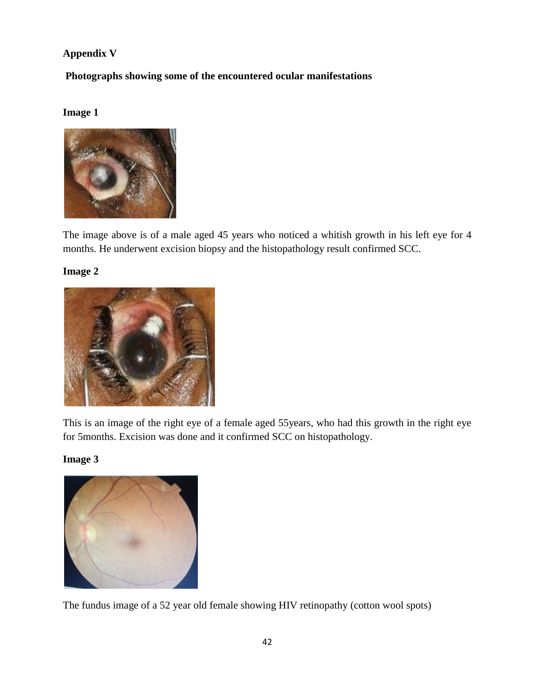# **Appendix V**

**Photographs showing some of the encountered ocular manifestations**

## **Image 1**



The image above is of a male aged 45 years who noticed a whitish growth in his left eye for 4 months. He underwent excision biopsy and the histopathology result confirmed SCC.

## **Image 2**



This is an image of the right eye of a female aged 55years, who had this growth in the right eye for 5months. Excision was done and it confirmed SCC on histopathology.

## **Image 3**



The fundus image of a 52 year old female showing HIV retinopathy (cotton wool spots)